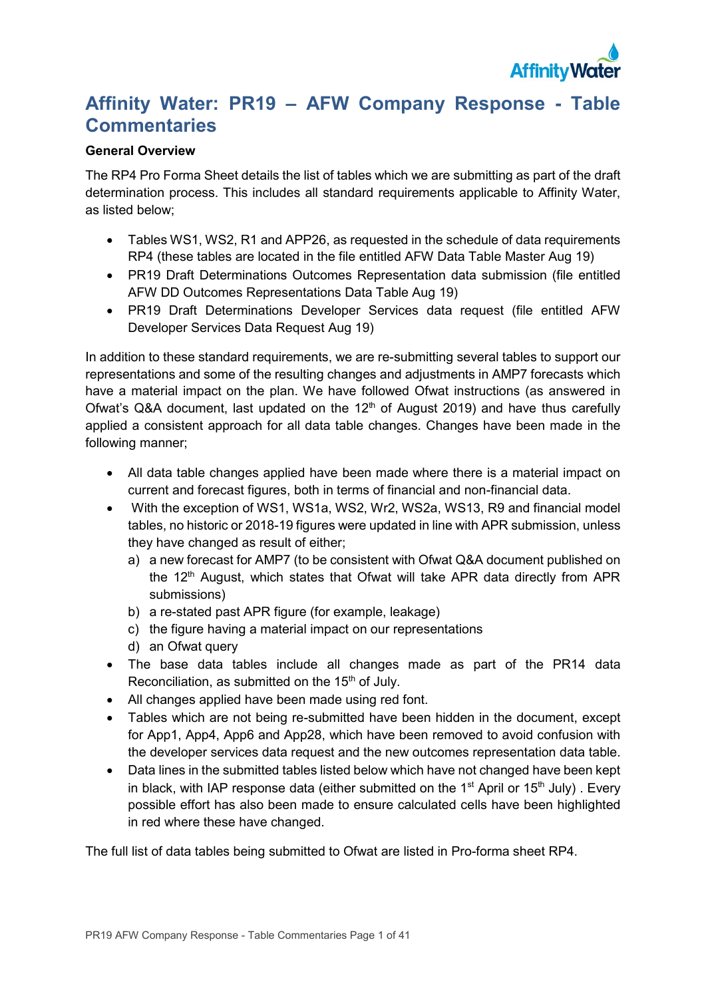

# **Affinity Water: PR19 – AFW Company Response - Table Commentaries**

## **General Overview**

The RP4 Pro Forma Sheet details the list of tables which we are submitting as part of the draft determination process. This includes all standard requirements applicable to Affinity Water, as listed below;

- Tables WS1, WS2, R1 and APP26, as requested in the schedule of data requirements RP4 (these tables are located in the file entitled AFW Data Table Master Aug 19)
- PR19 Draft Determinations Outcomes Representation data submission (file entitled AFW DD Outcomes Representations Data Table Aug 19)
- PR19 Draft Determinations Developer Services data request (file entitled AFW Developer Services Data Request Aug 19)

In addition to these standard requirements, we are re-submitting several tables to support our representations and some of the resulting changes and adjustments in AMP7 forecasts which have a material impact on the plan. We have followed Ofwat instructions (as answered in Ofwat's Q&A document, last updated on the  $12<sup>th</sup>$  of August 2019) and have thus carefully applied a consistent approach for all data table changes. Changes have been made in the following manner;

- All data table changes applied have been made where there is a material impact on current and forecast figures, both in terms of financial and non-financial data.
- With the exception of WS1, WS1a, WS2, Wr2, WS2a, WS13, R9 and financial model tables, no historic or 2018-19 figures were updated in line with APR submission, unless they have changed as result of either;
	- a) a new forecast for AMP7 (to be consistent with Ofwat Q&A document published on the 12<sup>th</sup> August, which states that Ofwat will take APR data directly from APR submissions)
	- b) a re-stated past APR figure (for example, leakage)
	- c) the figure having a material impact on our representations
	- d) an Ofwat query
- The base data tables include all changes made as part of the PR14 data Reconciliation, as submitted on the  $15<sup>th</sup>$  of July.
- All changes applied have been made using red font.
- Tables which are not being re-submitted have been hidden in the document, except for App1, App4, App6 and App28, which have been removed to avoid confusion with the developer services data request and the new outcomes representation data table.
- Data lines in the submitted tables listed below which have not changed have been kept in black, with IAP response data (either submitted on the 1<sup>st</sup> April or 15<sup>th</sup> July). Every possible effort has also been made to ensure calculated cells have been highlighted in red where these have changed.

The full list of data tables being submitted to Ofwat are listed in Pro-forma sheet RP4.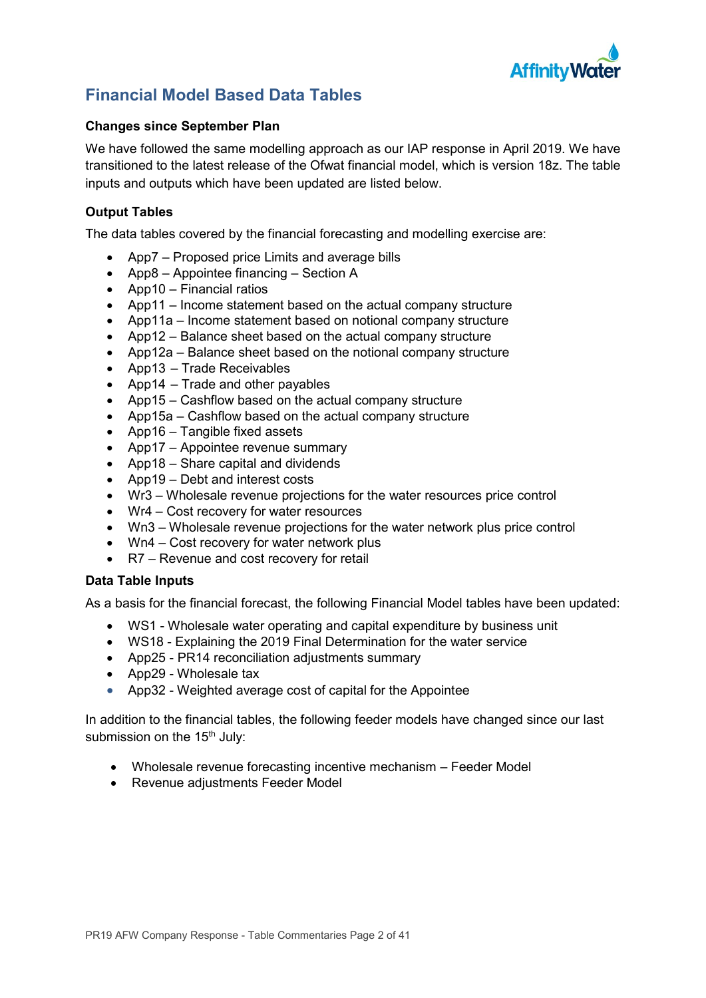

# **Financial Model Based Data Tables**

## **Changes since September Plan**

We have followed the same modelling approach as our IAP response in April 2019. We have transitioned to the latest release of the Ofwat financial model, which is version 18z. The table inputs and outputs which have been updated are listed below.

## **Output Tables**

The data tables covered by the financial forecasting and modelling exercise are:

- App7 Proposed price Limits and average bills
- App8 Appointee financing Section A
- App10 Financial ratios
- App11 Income statement based on the actual company structure
- App11a Income statement based on notional company structure
- App12 Balance sheet based on the actual company structure
- App12a Balance sheet based on the notional company structure
- App13 Trade Receivables
- App14 Trade and other payables
- App15 Cashflow based on the actual company structure
- App15a Cashflow based on the actual company structure
- App16 Tangible fixed assets
- App17 Appointee revenue summary
- App18 Share capital and dividends
- App19 Debt and interest costs
- Wr3 Wholesale revenue projections for the water resources price control
- Wr4 Cost recovery for water resources
- Wn3 Wholesale revenue projections for the water network plus price control
- Wn4 Cost recovery for water network plus
- R7 Revenue and cost recovery for retail

## **Data Table Inputs**

As a basis for the financial forecast, the following Financial Model tables have been updated:

- WS1 Wholesale water operating and capital expenditure by business unit
- WS18 Explaining the 2019 Final Determination for the water service
- App25 PR14 reconciliation adjustments summary
- App29 Wholesale tax
- App32 Weighted average cost of capital for the Appointee

In addition to the financial tables, the following feeder models have changed since our last submission on the 15<sup>th</sup> July:

- Wholesale revenue forecasting incentive mechanism Feeder Model
- Revenue adjustments Feeder Model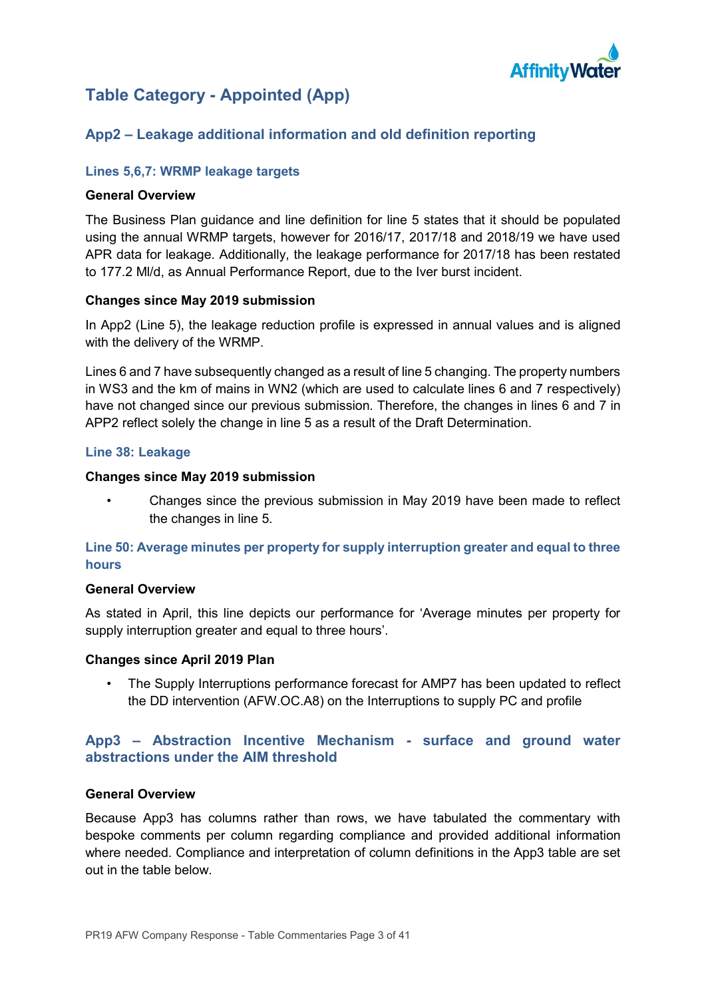

# **Table Category - Appointed (App)**

## **App2 – Leakage additional information and old definition reporting**

## **Lines 5,6,7: WRMP leakage targets**

#### **General Overview**

The Business Plan guidance and line definition for line 5 states that it should be populated using the annual WRMP targets, however for 2016/17, 2017/18 and 2018/19 we have used APR data for leakage. Additionally, the leakage performance for 2017/18 has been restated to 177.2 Ml/d, as Annual Performance Report, due to the Iver burst incident.

### **Changes since May 2019 submission**

In App2 (Line 5), the leakage reduction profile is expressed in annual values and is aligned with the delivery of the WRMP.

Lines 6 and 7 have subsequently changed as a result of line 5 changing. The property numbers in WS3 and the km of mains in WN2 (which are used to calculate lines 6 and 7 respectively) have not changed since our previous submission. Therefore, the changes in lines 6 and 7 in APP2 reflect solely the change in line 5 as a result of the Draft Determination.

### **Line 38: Leakage**

### **Changes since May 2019 submission**

• Changes since the previous submission in May 2019 have been made to reflect the changes in line 5.

## **Line 50: Average minutes per property for supply interruption greater and equal to three hours**

#### **General Overview**

As stated in April, this line depicts our performance for 'Average minutes per property for supply interruption greater and equal to three hours'.

#### **Changes since April 2019 Plan**

The Supply Interruptions performance forecast for AMP7 has been updated to reflect the DD intervention (AFW.OC.A8) on the Interruptions to supply PC and profile

## **App3 – Abstraction Incentive Mechanism - surface and ground water abstractions under the AIM threshold**

#### **General Overview**

Because App3 has columns rather than rows, we have tabulated the commentary with bespoke comments per column regarding compliance and provided additional information where needed. Compliance and interpretation of column definitions in the App3 table are set out in the table below.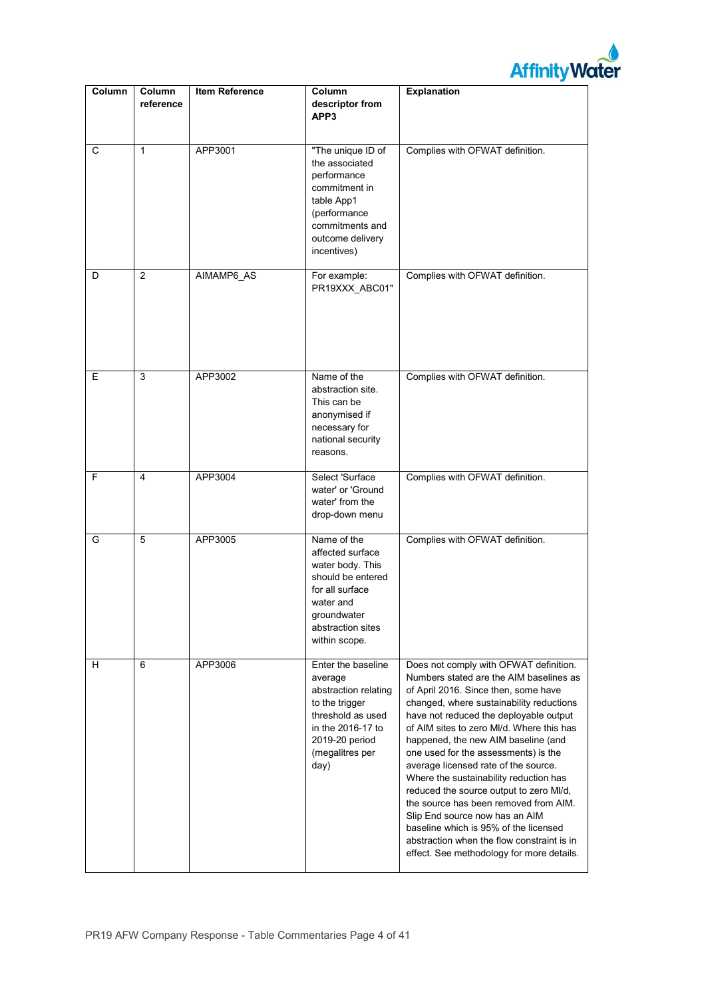

| Column | Column<br>reference | <b>Item Reference</b> | Column<br>descriptor from<br>APP3                                                                                                                              | <b>Explanation</b>                                                                                                                                                                                                                                                                                                                                                                                                                                                                                                                                                                                                                                                                      |
|--------|---------------------|-----------------------|----------------------------------------------------------------------------------------------------------------------------------------------------------------|-----------------------------------------------------------------------------------------------------------------------------------------------------------------------------------------------------------------------------------------------------------------------------------------------------------------------------------------------------------------------------------------------------------------------------------------------------------------------------------------------------------------------------------------------------------------------------------------------------------------------------------------------------------------------------------------|
| С      | $\mathbf{1}$        | APP3001               | "The unique ID of<br>the associated<br>performance<br>commitment in<br>table App1<br>(performance<br>commitments and<br>outcome delivery<br>incentives)        | Complies with OFWAT definition.                                                                                                                                                                                                                                                                                                                                                                                                                                                                                                                                                                                                                                                         |
| D      | 2                   | AIMAMP6_AS            | For example:<br>PR19XXX_ABC01"                                                                                                                                 | Complies with OFWAT definition.                                                                                                                                                                                                                                                                                                                                                                                                                                                                                                                                                                                                                                                         |
| E      | 3                   | APP3002               | Name of the<br>abstraction site.<br>This can be<br>anonymised if<br>necessary for<br>national security<br>reasons.                                             | Complies with OFWAT definition.                                                                                                                                                                                                                                                                                                                                                                                                                                                                                                                                                                                                                                                         |
| F      | 4                   | APP3004               | Select 'Surface<br>water' or 'Ground<br>water' from the<br>drop-down menu                                                                                      | Complies with OFWAT definition.                                                                                                                                                                                                                                                                                                                                                                                                                                                                                                                                                                                                                                                         |
| G      | $\overline{5}$      | APP3005               | Name of the<br>affected surface<br>water body. This<br>should be entered<br>for all surface<br>water and<br>groundwater<br>abstraction sites<br>within scope.  | Complies with OFWAT definition.                                                                                                                                                                                                                                                                                                                                                                                                                                                                                                                                                                                                                                                         |
| н      | 6                   | APP3006               | Enter the baseline<br>average<br>abstraction relating<br>to the trigger<br>threshold as used<br>in the 2016-17 to<br>2019-20 period<br>(megalitres per<br>day) | Does not comply with OFWAT definition.<br>Numbers stated are the AIM baselines as<br>of April 2016. Since then, some have<br>changed, where sustainability reductions<br>have not reduced the deployable output<br>of AIM sites to zero MI/d. Where this has<br>happened, the new AIM baseline (and<br>one used for the assessments) is the<br>average licensed rate of the source.<br>Where the sustainability reduction has<br>reduced the source output to zero MI/d,<br>the source has been removed from AIM.<br>Slip End source now has an AIM<br>baseline which is 95% of the licensed<br>abstraction when the flow constraint is in<br>effect. See methodology for more details. |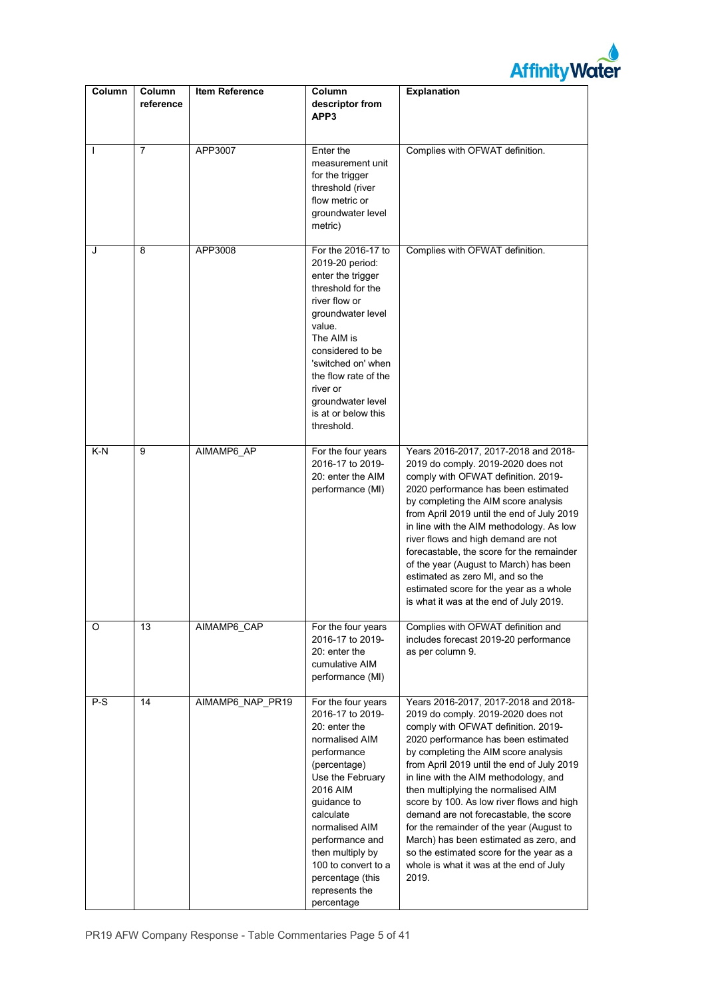

| Column       | Column<br>reference | <b>Item Reference</b> | Column<br>descriptor from<br>APP3                                                                                                                                                                                                                                                                        | Explanation                                                                                                                                                                                                                                                                                                                                                                                                                                                                                                                                                                                                 |
|--------------|---------------------|-----------------------|----------------------------------------------------------------------------------------------------------------------------------------------------------------------------------------------------------------------------------------------------------------------------------------------------------|-------------------------------------------------------------------------------------------------------------------------------------------------------------------------------------------------------------------------------------------------------------------------------------------------------------------------------------------------------------------------------------------------------------------------------------------------------------------------------------------------------------------------------------------------------------------------------------------------------------|
| $\mathbf{I}$ | $\overline{7}$      | APP3007               | Enter the<br>measurement unit<br>for the trigger<br>threshold (river<br>flow metric or<br>groundwater level<br>metric)                                                                                                                                                                                   | Complies with OFWAT definition.                                                                                                                                                                                                                                                                                                                                                                                                                                                                                                                                                                             |
| J            | 8                   | APP3008               | For the 2016-17 to<br>2019-20 period:<br>enter the trigger<br>threshold for the<br>river flow or<br>groundwater level<br>value.<br>The AIM is<br>considered to be<br>'switched on' when<br>the flow rate of the<br>river or<br>groundwater level<br>is at or below this<br>threshold.                    | Complies with OFWAT definition.                                                                                                                                                                                                                                                                                                                                                                                                                                                                                                                                                                             |
| K-N          | 9                   | AIMAMP6 AP            | For the four years<br>2016-17 to 2019-<br>20: enter the AIM<br>performance (MI)                                                                                                                                                                                                                          | Years 2016-2017, 2017-2018 and 2018-<br>2019 do comply. 2019-2020 does not<br>comply with OFWAT definition. 2019-<br>2020 performance has been estimated<br>by completing the AIM score analysis<br>from April 2019 until the end of July 2019<br>in line with the AIM methodology. As low<br>river flows and high demand are not<br>forecastable, the score for the remainder<br>of the year (August to March) has been<br>estimated as zero MI, and so the<br>estimated score for the year as a whole<br>is what it was at the end of July 2019.                                                          |
| O            | 13                  | AIMAMP6_CAP           | For the four years<br>2016-17 to 2019-<br>20: enter the<br>cumulative AIM<br>performance (MI)                                                                                                                                                                                                            | Complies with OFWAT definition and<br>includes forecast 2019-20 performance<br>as per column 9.                                                                                                                                                                                                                                                                                                                                                                                                                                                                                                             |
| P-S          | 14                  | AIMAMP6 NAP PR19      | For the four years<br>2016-17 to 2019-<br>20: enter the<br>normalised AIM<br>performance<br>(percentage)<br>Use the February<br>2016 AIM<br>guidance to<br>calculate<br>normalised AIM<br>performance and<br>then multiply by<br>100 to convert to a<br>percentage (this<br>represents the<br>percentage | Years 2016-2017, 2017-2018 and 2018-<br>2019 do comply. 2019-2020 does not<br>comply with OFWAT definition. 2019-<br>2020 performance has been estimated<br>by completing the AIM score analysis<br>from April 2019 until the end of July 2019<br>in line with the AIM methodology, and<br>then multiplying the normalised AIM<br>score by 100. As low river flows and high<br>demand are not forecastable, the score<br>for the remainder of the year (August to<br>March) has been estimated as zero, and<br>so the estimated score for the year as a<br>whole is what it was at the end of July<br>2019. |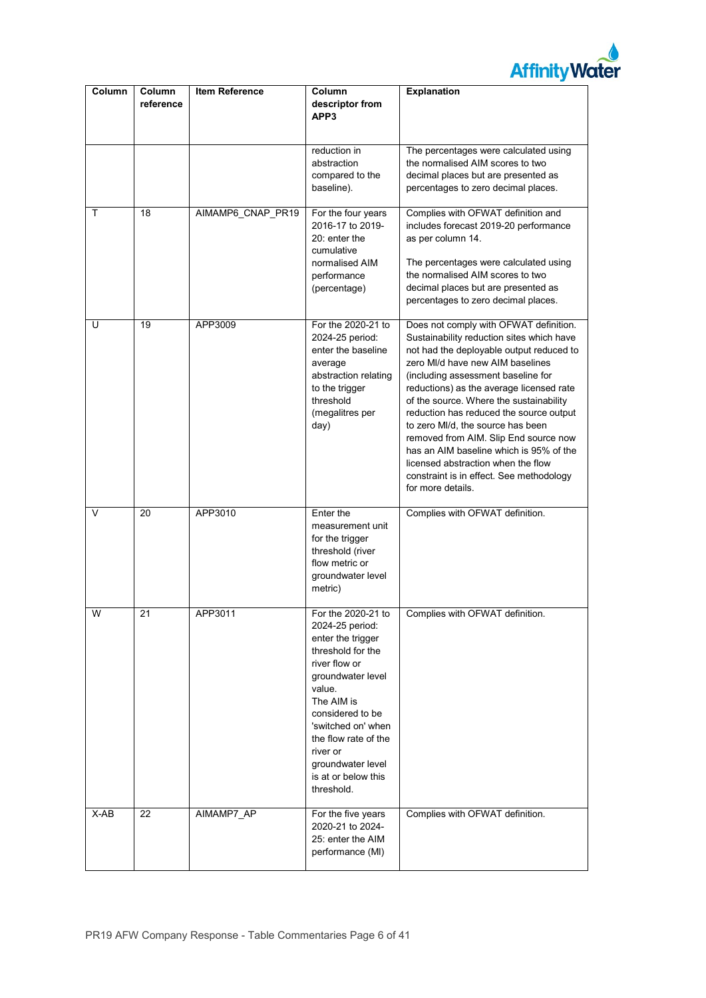

| Column | Column<br>reference | <b>Item Reference</b> | Column<br>descriptor from                                                                                                                                                                                                                                                             | <b>Explanation</b>                                                                                                                                                                                                                                                                                                                                                                                                                                                                                                                                                          |  |
|--------|---------------------|-----------------------|---------------------------------------------------------------------------------------------------------------------------------------------------------------------------------------------------------------------------------------------------------------------------------------|-----------------------------------------------------------------------------------------------------------------------------------------------------------------------------------------------------------------------------------------------------------------------------------------------------------------------------------------------------------------------------------------------------------------------------------------------------------------------------------------------------------------------------------------------------------------------------|--|
|        |                     |                       | APP3                                                                                                                                                                                                                                                                                  |                                                                                                                                                                                                                                                                                                                                                                                                                                                                                                                                                                             |  |
|        |                     |                       |                                                                                                                                                                                                                                                                                       |                                                                                                                                                                                                                                                                                                                                                                                                                                                                                                                                                                             |  |
|        |                     |                       | reduction in                                                                                                                                                                                                                                                                          | The percentages were calculated using                                                                                                                                                                                                                                                                                                                                                                                                                                                                                                                                       |  |
|        |                     |                       | abstraction<br>compared to the                                                                                                                                                                                                                                                        | the normalised AIM scores to two<br>decimal places but are presented as                                                                                                                                                                                                                                                                                                                                                                                                                                                                                                     |  |
|        |                     |                       | baseline).                                                                                                                                                                                                                                                                            | percentages to zero decimal places.                                                                                                                                                                                                                                                                                                                                                                                                                                                                                                                                         |  |
| т      | 18                  | AIMAMP6_CNAP_PR19     | For the four years                                                                                                                                                                                                                                                                    | Complies with OFWAT definition and                                                                                                                                                                                                                                                                                                                                                                                                                                                                                                                                          |  |
|        |                     |                       | 2016-17 to 2019-<br>20: enter the<br>cumulative                                                                                                                                                                                                                                       | includes forecast 2019-20 performance<br>as per column 14.                                                                                                                                                                                                                                                                                                                                                                                                                                                                                                                  |  |
|        |                     |                       | normalised AIM                                                                                                                                                                                                                                                                        | The percentages were calculated using                                                                                                                                                                                                                                                                                                                                                                                                                                                                                                                                       |  |
|        |                     |                       | performance                                                                                                                                                                                                                                                                           | the normalised AIM scores to two                                                                                                                                                                                                                                                                                                                                                                                                                                                                                                                                            |  |
|        |                     |                       | (percentage)                                                                                                                                                                                                                                                                          | decimal places but are presented as<br>percentages to zero decimal places.                                                                                                                                                                                                                                                                                                                                                                                                                                                                                                  |  |
| U      | 19                  | APP3009               | For the 2020-21 to<br>2024-25 period:<br>enter the baseline<br>average<br>abstraction relating<br>to the trigger<br>threshold<br>(megalitres per<br>day)                                                                                                                              | Does not comply with OFWAT definition.<br>Sustainability reduction sites which have<br>not had the deployable output reduced to<br>zero MI/d have new AIM baselines<br>(including assessment baseline for<br>reductions) as the average licensed rate<br>of the source. Where the sustainability<br>reduction has reduced the source output<br>to zero MI/d, the source has been<br>removed from AIM. Slip End source now<br>has an AIM baseline which is 95% of the<br>licensed abstraction when the flow<br>constraint is in effect. See methodology<br>for more details. |  |
| V      | 20                  | APP3010               | Enter the<br>measurement unit<br>for the trigger<br>threshold (river<br>flow metric or<br>groundwater level<br>metric)                                                                                                                                                                | Complies with OFWAT definition.                                                                                                                                                                                                                                                                                                                                                                                                                                                                                                                                             |  |
| W      | 21                  | APP3011               | For the 2020-21 to<br>2024-25 period:<br>enter the trigger<br>threshold for the<br>river flow or<br>groundwater level<br>value.<br>The AIM is<br>considered to be<br>'switched on' when<br>the flow rate of the<br>river or<br>groundwater level<br>is at or below this<br>threshold. | Complies with OFWAT definition.                                                                                                                                                                                                                                                                                                                                                                                                                                                                                                                                             |  |
| $X-AB$ | 22                  | AIMAMP7_AP            | For the five years<br>2020-21 to 2024-<br>25: enter the AIM<br>performance (MI)                                                                                                                                                                                                       | Complies with OFWAT definition.                                                                                                                                                                                                                                                                                                                                                                                                                                                                                                                                             |  |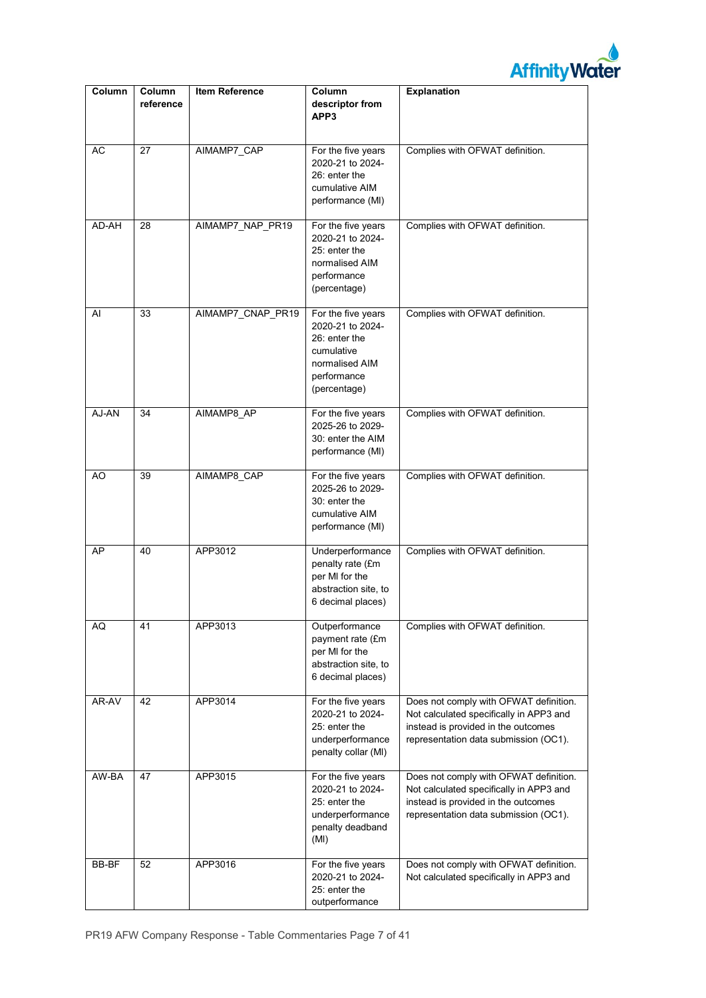

| Column | Column<br>reference | <b>Item Reference</b> | Column<br>descriptor from<br>APP3                                                                                      | Explanation                                                                                                                                                       |
|--------|---------------------|-----------------------|------------------------------------------------------------------------------------------------------------------------|-------------------------------------------------------------------------------------------------------------------------------------------------------------------|
| AC     | 27                  | AIMAMP7_CAP           | For the five years<br>2020-21 to 2024-<br>26: enter the<br>cumulative AIM<br>performance (MI)                          | Complies with OFWAT definition.                                                                                                                                   |
| AD-AH  | 28                  | AIMAMP7_NAP_PR19      | For the five years<br>2020-21 to 2024-<br>25: enter the<br>normalised AIM<br>performance<br>(percentage)               | Complies with OFWAT definition.                                                                                                                                   |
| AI     | 33                  | AIMAMP7 CNAP PR19     | For the five years<br>2020-21 to 2024-<br>26: enter the<br>cumulative<br>normalised AIM<br>performance<br>(percentage) | Complies with OFWAT definition.                                                                                                                                   |
| AJ-AN  | 34                  | AIMAMP8 AP            | For the five years<br>2025-26 to 2029-<br>30: enter the AIM<br>performance (MI)                                        | Complies with OFWAT definition.                                                                                                                                   |
| AO     | 39                  | AIMAMP8 CAP           | For the five years<br>2025-26 to 2029-<br>30: enter the<br>cumulative AIM<br>performance (MI)                          | Complies with OFWAT definition.                                                                                                                                   |
| AP     | 40                  | APP3012               | Underperformance<br>penalty rate (£m<br>per MI for the<br>abstraction site, to<br>6 decimal places)                    | Complies with OFWAT definition.                                                                                                                                   |
| AQ     | 41                  | APP3013               | Outperformance<br>payment rate (£m<br>per MI for the<br>abstraction site, to<br>6 decimal places)                      | Complies with OFWAT definition.                                                                                                                                   |
| AR-AV  | 42                  | APP3014               | For the five years<br>2020-21 to 2024-<br>25: enter the<br>underperformance<br>penalty collar (MI)                     | Does not comply with OFWAT definition.<br>Not calculated specifically in APP3 and<br>instead is provided in the outcomes<br>representation data submission (OC1). |
| AW-BA  | 47                  | APP3015               | For the five years<br>2020-21 to 2024-<br>25: enter the<br>underperformance<br>penalty deadband<br>(MI)                | Does not comply with OFWAT definition.<br>Not calculated specifically in APP3 and<br>instead is provided in the outcomes<br>representation data submission (OC1). |
| BB-BF  | 52                  | APP3016               | For the five years<br>2020-21 to 2024-<br>25: enter the<br>outperformance                                              | Does not comply with OFWAT definition.<br>Not calculated specifically in APP3 and                                                                                 |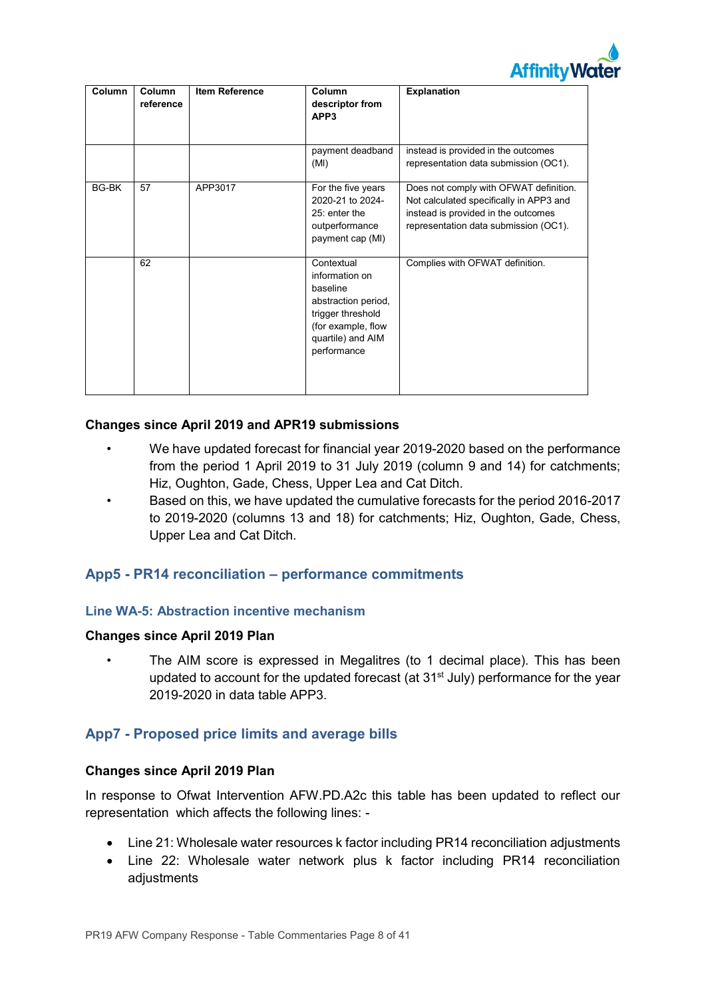

| <b>Column</b> | Column<br>reference | <b>Item Reference</b> | Column<br>descriptor from<br>APP3                                                                                                              | <b>Explanation</b>                                                                                                                                                |
|---------------|---------------------|-----------------------|------------------------------------------------------------------------------------------------------------------------------------------------|-------------------------------------------------------------------------------------------------------------------------------------------------------------------|
|               |                     |                       | payment deadband<br>(MI)                                                                                                                       | instead is provided in the outcomes<br>representation data submission (OC1).                                                                                      |
| BG-BK         | 57                  | APP3017               | For the five years<br>2020-21 to 2024-<br>25: enter the<br>outperformance<br>payment cap (MI)                                                  | Does not comply with OFWAT definition.<br>Not calculated specifically in APP3 and<br>instead is provided in the outcomes<br>representation data submission (OC1). |
|               | 62                  |                       | Contextual<br>information on<br>baseline<br>abstraction period,<br>trigger threshold<br>(for example, flow<br>quartile) and AIM<br>performance | Complies with OFWAT definition.                                                                                                                                   |

## **Changes since April 2019 and APR19 submissions**

- We have updated forecast for financial year 2019-2020 based on the performance from the period 1 April 2019 to 31 July 2019 (column 9 and 14) for catchments; Hiz, Oughton, Gade, Chess, Upper Lea and Cat Ditch.
- Based on this, we have updated the cumulative forecasts for the period 2016-2017 to 2019-2020 (columns 13 and 18) for catchments; Hiz, Oughton, Gade, Chess, Upper Lea and Cat Ditch.

## **App5 - PR14 reconciliation – performance commitments**

## **Line WA-5: Abstraction incentive mechanism**

#### **Changes since April 2019 Plan**

• The AIM score is expressed in Megalitres (to 1 decimal place). This has been updated to account for the updated forecast (at  $31<sup>st</sup>$  July) performance for the year 2019-2020 in data table APP3.

## **App7 - Proposed price limits and average bills**

#### **Changes since April 2019 Plan**

In response to Ofwat Intervention AFW.PD.A2c this table has been updated to reflect our representation which affects the following lines: -

- Line 21: Wholesale water resources k factor including PR14 reconciliation adjustments
- Line 22: Wholesale water network plus k factor including PR14 reconciliation adjustments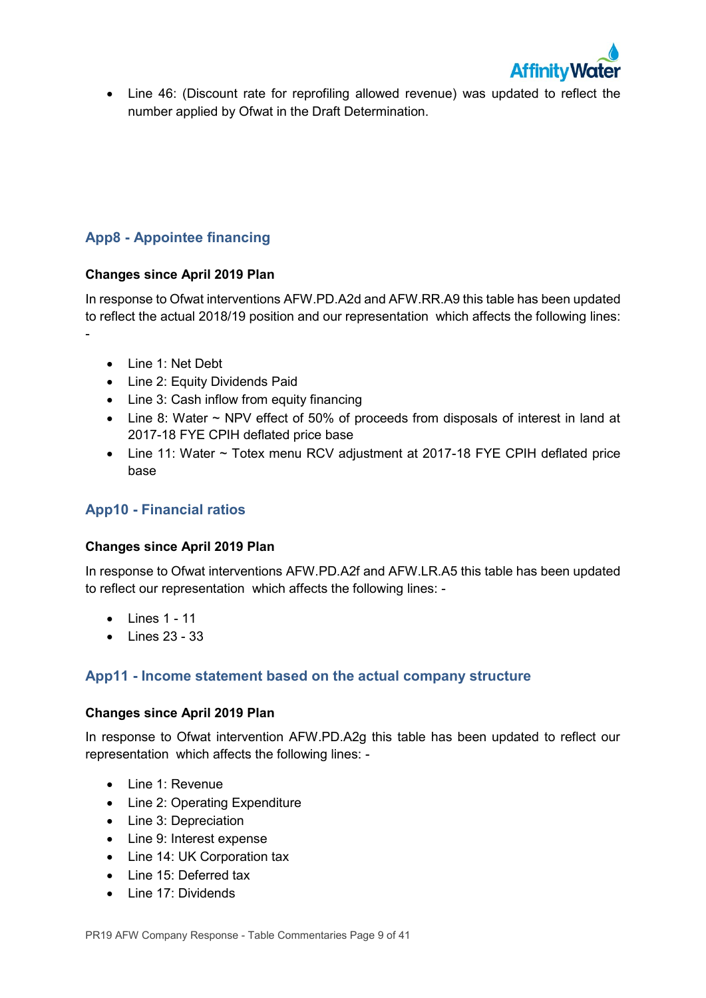

• Line 46: (Discount rate for reprofiling allowed revenue) was updated to reflect the number applied by Ofwat in the Draft Determination.

## **App8 - Appointee financing**

## **Changes since April 2019 Plan**

In response to Ofwat interventions AFW.PD.A2d and AFW.RR.A9 this table has been updated to reflect the actual 2018/19 position and our representation which affects the following lines:

• Line 1: Net Debt

-

- Line 2: Equity Dividends Paid
- Line 3: Cash inflow from equity financing
- Line 8: Water ~ NPV effect of 50% of proceeds from disposals of interest in land at 2017-18 FYE CPIH deflated price base
- Line 11: Water ~ Totex menu RCV adjustment at 2017-18 FYE CPIH deflated price base

## **App10 - Financial ratios**

## **Changes since April 2019 Plan**

In response to Ofwat interventions AFW.PD.A2f and AFW.LR.A5 this table has been updated to reflect our representation which affects the following lines: -

- $\bullet$  lines 1 11
- $\bullet$  Lines 23 33

## **App11 - Income statement based on the actual company structure**

## **Changes since April 2019 Plan**

In response to Ofwat intervention AFW.PD.A2g this table has been updated to reflect our representation which affects the following lines: -

- Line 1: Revenue
- Line 2: Operating Expenditure
- Line 3: Depreciation
- Line 9: Interest expense
- Line 14: UK Corporation tax
- Line 15: Deferred tax
- Line 17: Dividends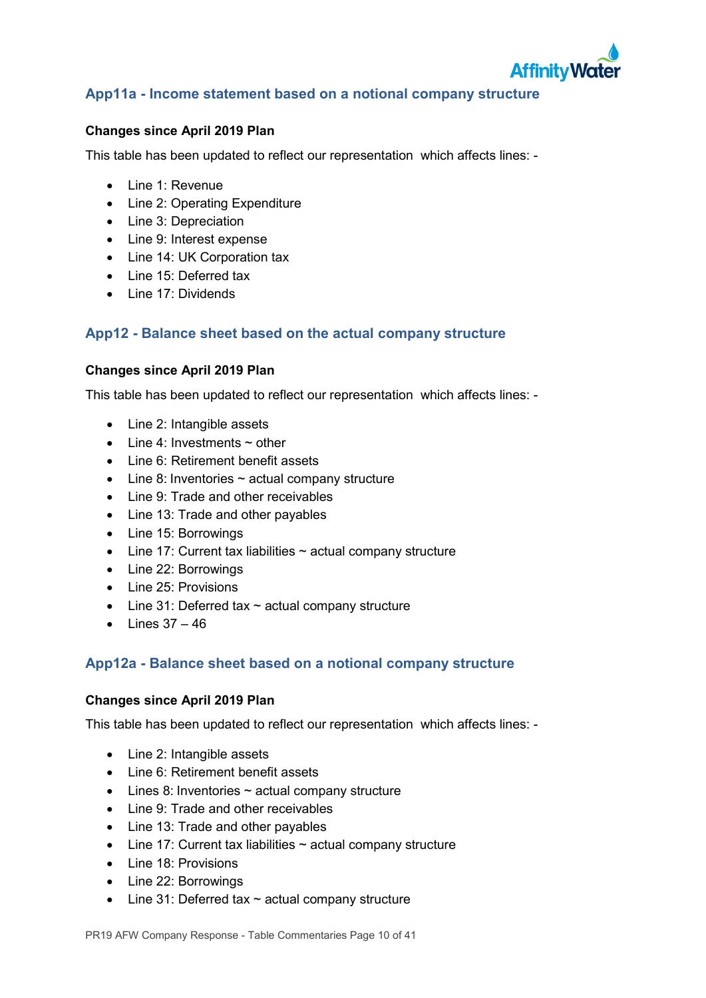

## **App11a - Income statement based on a notional company structure**

## **Changes since April 2019 Plan**

This table has been updated to reflect our representation which affects lines: -

- Line 1: Revenue
- Line 2: Operating Expenditure
- Line 3: Depreciation
- Line 9: Interest expense
- Line 14: UK Corporation tax
- Line 15: Deferred tax
- Line 17: Dividends

## **App12 - Balance sheet based on the actual company structure**

### **Changes since April 2019 Plan**

This table has been updated to reflect our representation which affects lines: -

- Line 2: Intangible assets
- Line 4: Investments  $\sim$  other
- Line 6: Retirement benefit assets
- $\bullet$  Line 8: Inventories  $\sim$  actual company structure
- Line 9: Trade and other receivables
- Line 13: Trade and other payables
- Line 15: Borrowings
- $\bullet$  Line 17: Current tax liabilities  $\sim$  actual company structure
- Line 22: Borrowings
- Line 25: Provisions
- Line 31: Deferred tax  $\sim$  actual company structure
- $\bullet$  Lines  $37 46$

## **App12a - Balance sheet based on a notional company structure**

## **Changes since April 2019 Plan**

This table has been updated to reflect our representation which affects lines: -

- Line 2: Intangible assets
- Line 6: Retirement benefit assets
- $\bullet$  Lines 8: Inventories  $\sim$  actual company structure
- Line 9: Trade and other receivables
- Line 13: Trade and other payables
- $\bullet$  Line 17: Current tax liabilities  $\sim$  actual company structure
- Line 18: Provisions
- Line 22: Borrowings
- Line 31: Deferred tax  $\sim$  actual company structure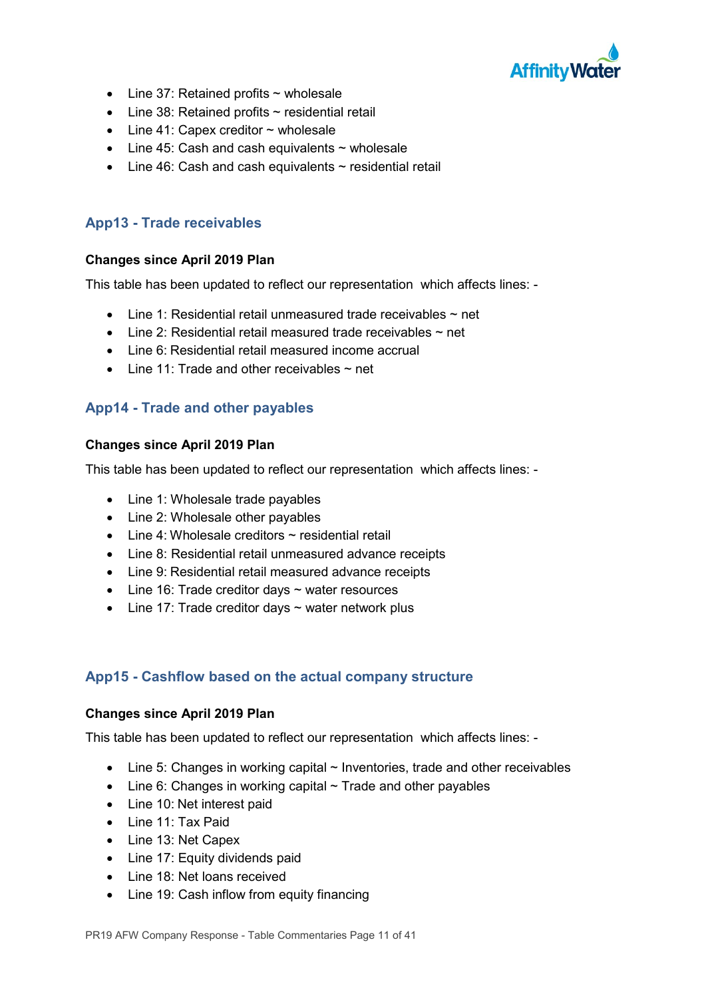

- Line 37: Retained profits  $\sim$  wholesale
- Line 38: Retained profits ~ residential retail
- $\bullet$  Line 41: Capex creditor  $\sim$  wholesale
- $\bullet$  Line 45: Cash and cash equivalents  $\sim$  wholesale
- Line 46: Cash and cash equivalents ~ residential retail

## **App13 - Trade receivables**

## **Changes since April 2019 Plan**

This table has been updated to reflect our representation which affects lines: -

- Line 1: Residential retail unmeasured trade receivables  $\sim$  net
- $\bullet$  Line 2: Residential retail measured trade receivables  $\sim$  net
- Line 6: Residential retail measured income accrual
- Line 11: Trade and other receivables  $\sim$  net

## **App14 - Trade and other payables**

## **Changes since April 2019 Plan**

This table has been updated to reflect our representation which affects lines: -

- Line 1: Wholesale trade payables
- Line 2: Wholesale other payables
- Line 4: Wholesale creditors  $\sim$  residential retail
- Line 8: Residential retail unmeasured advance receipts
- Line 9: Residential retail measured advance receipts
- Line 16: Trade creditor days ~ water resources
- $\bullet$  Line 17: Trade creditor days  $\sim$  water network plus

## **App15 - Cashflow based on the actual company structure**

## **Changes since April 2019 Plan**

This table has been updated to reflect our representation which affects lines: -

- Line 5: Changes in working capital  $\sim$  Inventories, trade and other receivables
- Line 6: Changes in working capital  $\sim$  Trade and other payables
- Line 10: Net interest paid
- Line 11: Tax Paid
- Line 13: Net Capex
- Line 17: Equity dividends paid
- Line 18: Net loans received
- Line 19: Cash inflow from equity financing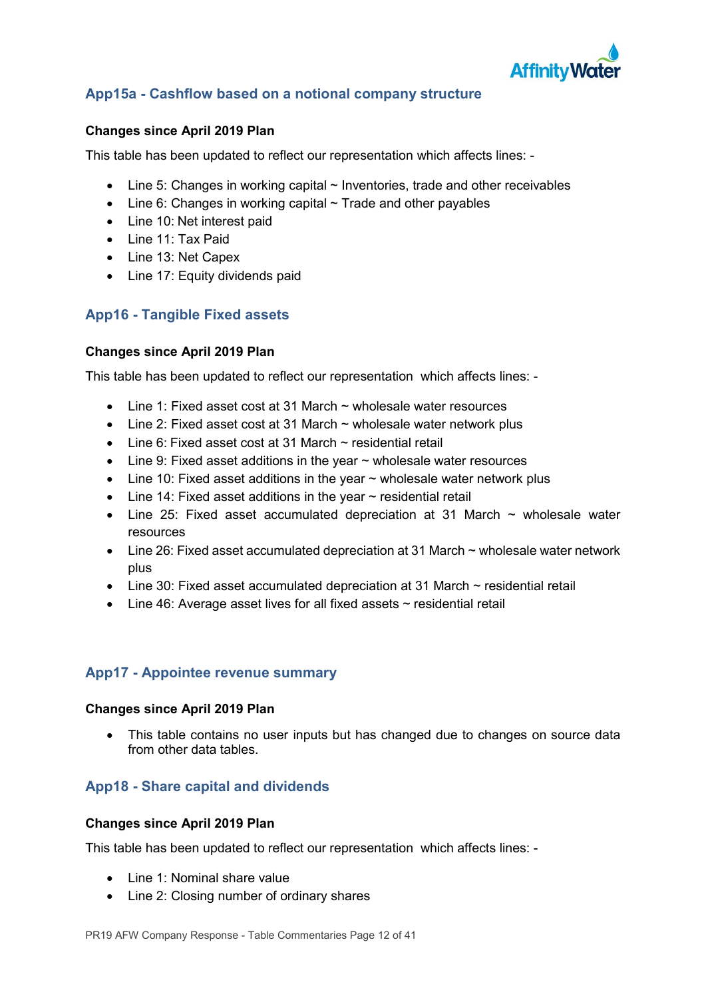

## **App15a - Cashflow based on a notional company structure**

## **Changes since April 2019 Plan**

This table has been updated to reflect our representation which affects lines: -

- $\bullet$  Line 5: Changes in working capital  $\sim$  Inventories, trade and other receivables
- Line 6: Changes in working capital  $\sim$  Trade and other payables
- Line 10: Net interest paid
- Line 11: Tax Paid
- Line 13: Net Capex
- Line 17: Equity dividends paid

## **App16 - Tangible Fixed assets**

## **Changes since April 2019 Plan**

This table has been updated to reflect our representation which affects lines: -

- Line 1: Fixed asset cost at 31 March  $\sim$  wholesale water resources
- Line 2: Fixed asset cost at 31 March  $\sim$  wholesale water network plus
- Line 6: Fixed asset cost at 31 March ~ residential retail
- $\bullet$  Line 9: Fixed asset additions in the year  $\sim$  wholesale water resources
- Line 10: Fixed asset additions in the year  $\sim$  wholesale water network plus
- Line 14: Fixed asset additions in the year  $\sim$  residential retail
- Line 25: Fixed asset accumulated depreciation at 31 March  $\sim$  wholesale water resources
- Line 26: Fixed asset accumulated depreciation at 31 March ~ wholesale water network plus
- Line 30: Fixed asset accumulated depreciation at 31 March  $\sim$  residential retail
- Line 46: Average asset lives for all fixed assets ~ residential retail

## **App17 - Appointee revenue summary**

#### **Changes since April 2019 Plan**

• This table contains no user inputs but has changed due to changes on source data from other data tables.

## **App18 - Share capital and dividends**

## **Changes since April 2019 Plan**

This table has been updated to reflect our representation which affects lines: -

- Line 1: Nominal share value
- Line 2: Closing number of ordinary shares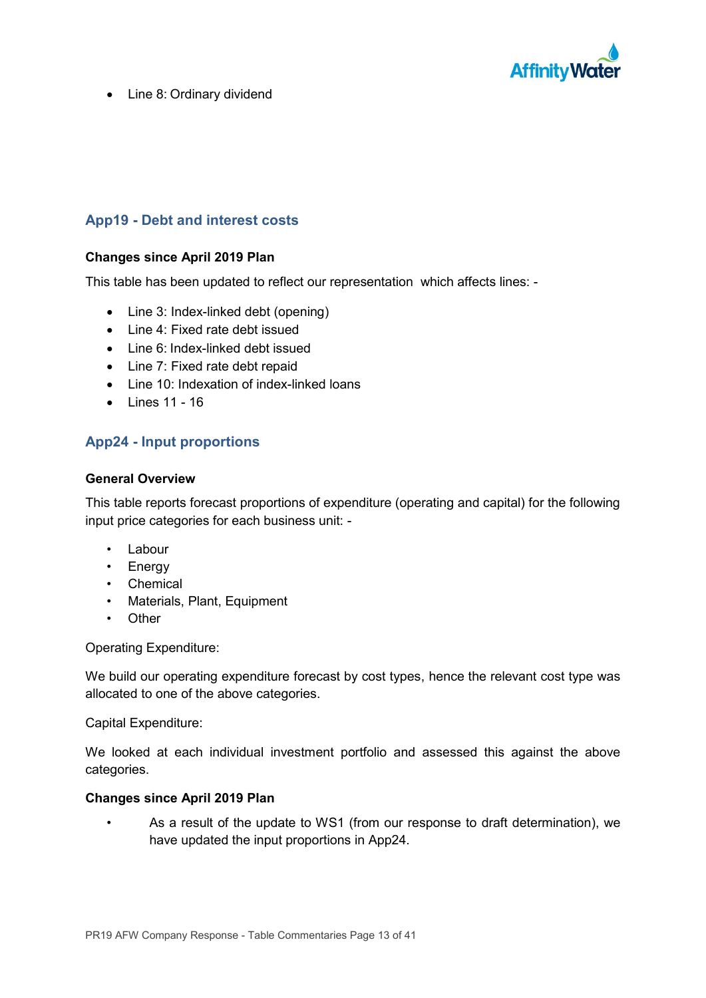

• Line 8: Ordinary dividend

## **App19 - Debt and interest costs**

## **Changes since April 2019 Plan**

This table has been updated to reflect our representation which affects lines: -

- Line 3: Index-linked debt (opening)
- Line 4: Fixed rate debt issued
- Line 6: Index-linked debt issued
- Line 7: Fixed rate debt repaid
- Line 10: Indexation of index-linked loans
- $\bullet$  Lines 11 16

## **App24 - Input proportions**

#### **General Overview**

This table reports forecast proportions of expenditure (operating and capital) for the following input price categories for each business unit: -

- Labour
- Energy
- Chemical
- Materials, Plant, Equipment
- Other

Operating Expenditure:

We build our operating expenditure forecast by cost types, hence the relevant cost type was allocated to one of the above categories.

Capital Expenditure:

We looked at each individual investment portfolio and assessed this against the above categories.

#### **Changes since April 2019 Plan**

• As a result of the update to WS1 (from our response to draft determination), we have updated the input proportions in App24.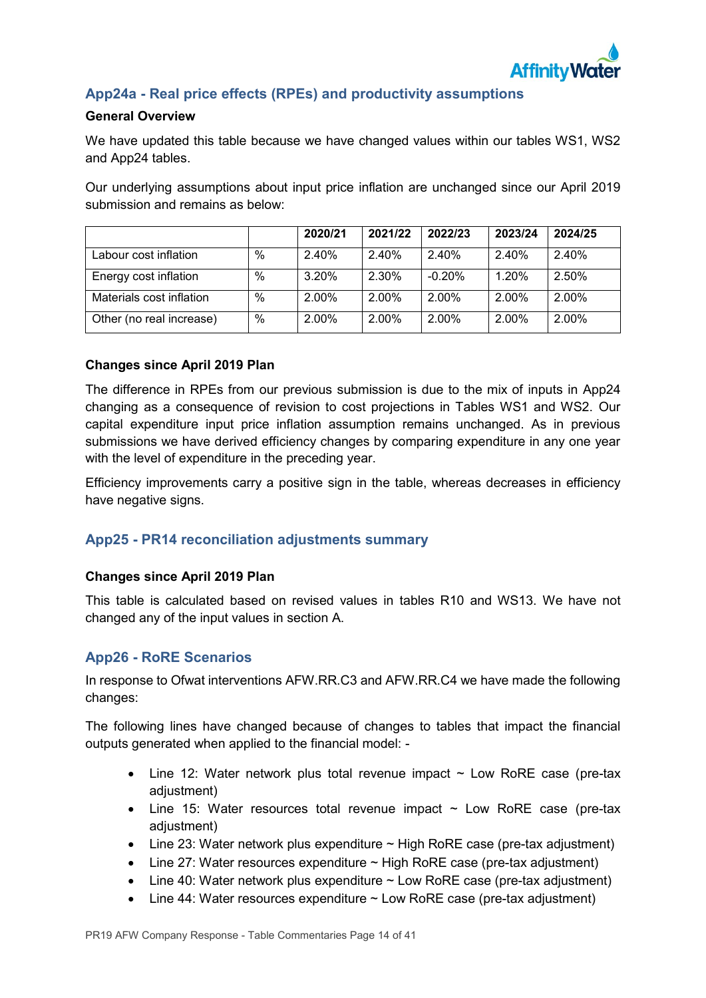

## **App24a - Real price effects (RPEs) and productivity assumptions**

## **General Overview**

We have updated this table because we have changed values within our tables WS1, WS2 and App24 tables.

Our underlying assumptions about input price inflation are unchanged since our April 2019 submission and remains as below:

|                          |      | 2020/21  | 2021/22 | 2022/23  | 2023/24 | 2024/25 |
|--------------------------|------|----------|---------|----------|---------|---------|
| Labour cost inflation    | $\%$ | 2.40%    | 2.40%   | 2.40%    | 2.40%   | 2.40%   |
| Energy cost inflation    | $\%$ | 3.20%    | 2.30%   | $-0.20%$ | 1.20%   | 2.50%   |
| Materials cost inflation | $\%$ | $2.00\%$ | 2.00%   | 2.00%    | 2.00%   | 2.00%   |
| Other (no real increase) | $\%$ | $2.00\%$ | 2.00%   | 2.00%    | 2.00%   | 2.00%   |

### **Changes since April 2019 Plan**

The difference in RPEs from our previous submission is due to the mix of inputs in App24 changing as a consequence of revision to cost projections in Tables WS1 and WS2. Our capital expenditure input price inflation assumption remains unchanged. As in previous submissions we have derived efficiency changes by comparing expenditure in any one year with the level of expenditure in the preceding year.

Efficiency improvements carry a positive sign in the table, whereas decreases in efficiency have negative signs.

## **App25 - PR14 reconciliation adjustments summary**

#### **Changes since April 2019 Plan**

This table is calculated based on revised values in tables R10 and WS13. We have not changed any of the input values in section A.

## **App26 - RoRE Scenarios**

In response to Ofwat interventions AFW.RR.C3 and AFW.RR.C4 we have made the following changes:

The following lines have changed because of changes to tables that impact the financial outputs generated when applied to the financial model: -

- Line 12: Water network plus total revenue impact  $\sim$  Low RoRE case (pre-tax adjustment)
- Line 15: Water resources total revenue impact  $\sim$  Low RoRE case (pre-tax adjustment)
- Line 23: Water network plus expenditure  $\sim$  High RoRE case (pre-tax adjustment)
- Line 27: Water resources expenditure  $\sim$  High RoRE case (pre-tax adjustment)
- Line 40: Water network plus expenditure  $\sim$  Low RoRE case (pre-tax adjustment)
- Line 44: Water resources expenditure  $\sim$  Low RoRE case (pre-tax adjustment)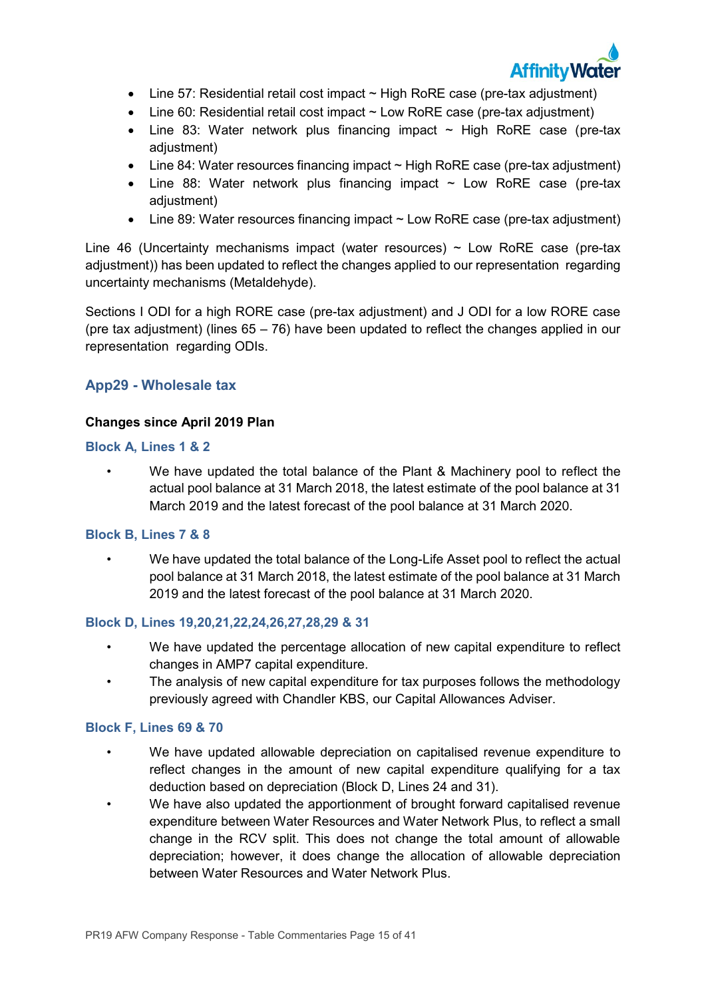

- Line 57: Residential retail cost impact  $\sim$  High RoRE case (pre-tax adjustment)
- Line 60: Residential retail cost impact  $\sim$  Low RoRE case (pre-tax adjustment)
- Line 83: Water network plus financing impact  $\sim$  High RoRE case (pre-tax adjustment)
- Line 84: Water resources financing impact ~ High RoRE case (pre-tax adjustment)
- Line 88: Water network plus financing impact  $\sim$  Low RoRE case (pre-tax adjustment)
- Line 89: Water resources financing impact ~ Low RoRE case (pre-tax adjustment)

Line 46 (Uncertainty mechanisms impact (water resources)  $\sim$  Low RoRE case (pre-tax adjustment)) has been updated to reflect the changes applied to our representation regarding uncertainty mechanisms (Metaldehyde).

Sections I ODI for a high RORE case (pre-tax adjustment) and J ODI for a low RORE case (pre tax adjustment) (lines  $65 - 76$ ) have been updated to reflect the changes applied in our representation regarding ODIs.

## **App29 - Wholesale tax**

## **Changes since April 2019 Plan**

### **Block A, Lines 1 & 2**

• We have updated the total balance of the Plant & Machinery pool to reflect the actual pool balance at 31 March 2018, the latest estimate of the pool balance at 31 March 2019 and the latest forecast of the pool balance at 31 March 2020.

## **Block B, Lines 7 & 8**

• We have updated the total balance of the Long-Life Asset pool to reflect the actual pool balance at 31 March 2018, the latest estimate of the pool balance at 31 March 2019 and the latest forecast of the pool balance at 31 March 2020.

## **Block D, Lines 19,20,21,22,24,26,27,28,29 & 31**

- We have updated the percentage allocation of new capital expenditure to reflect changes in AMP7 capital expenditure.
- The analysis of new capital expenditure for tax purposes follows the methodology previously agreed with Chandler KBS, our Capital Allowances Adviser.

#### **Block F, Lines 69 & 70**

- We have updated allowable depreciation on capitalised revenue expenditure to reflect changes in the amount of new capital expenditure qualifying for a tax deduction based on depreciation (Block D, Lines 24 and 31).
- We have also updated the apportionment of brought forward capitalised revenue expenditure between Water Resources and Water Network Plus, to reflect a small change in the RCV split. This does not change the total amount of allowable depreciation; however, it does change the allocation of allowable depreciation between Water Resources and Water Network Plus.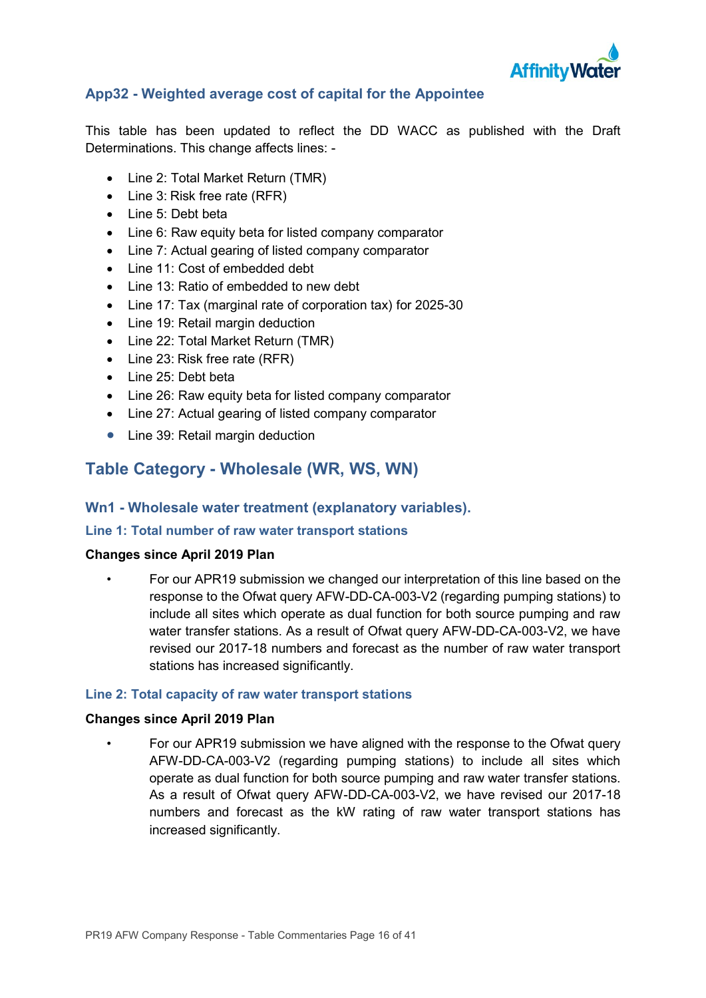

## **App32 - Weighted average cost of capital for the Appointee**

This table has been updated to reflect the DD WACC as published with the Draft Determinations. This change affects lines: -

- Line 2: Total Market Return (TMR)
- Line 3: Risk free rate (RFR)
- Line 5: Debt beta
- Line 6: Raw equity beta for listed company comparator
- Line 7: Actual gearing of listed company comparator
- Line 11: Cost of embedded debt
- Line 13: Ratio of embedded to new debt
- Line 17: Tax (marginal rate of corporation tax) for 2025-30
- Line 19: Retail margin deduction
- Line 22: Total Market Return (TMR)
- Line 23: Risk free rate (RFR)
- Line 25: Debt beta
- Line 26: Raw equity beta for listed company comparator
- Line 27: Actual gearing of listed company comparator
- Line 39: Retail margin deduction

## **Table Category - Wholesale (WR, WS, WN)**

## **Wn1 - Wholesale water treatment (explanatory variables).**

## **Line 1: Total number of raw water transport stations**

## **Changes since April 2019 Plan**

• For our APR19 submission we changed our interpretation of this line based on the response to the Ofwat query AFW-DD-CA-003-V2 (regarding pumping stations) to include all sites which operate as dual function for both source pumping and raw water transfer stations. As a result of Ofwat query AFW-DD-CA-003-V2, we have revised our 2017-18 numbers and forecast as the number of raw water transport stations has increased significantly.

## **Line 2: Total capacity of raw water transport stations**

#### **Changes since April 2019 Plan**

• For our APR19 submission we have aligned with the response to the Ofwat query AFW-DD-CA-003-V2 (regarding pumping stations) to include all sites which operate as dual function for both source pumping and raw water transfer stations. As a result of Ofwat query AFW-DD-CA-003-V2, we have revised our 2017-18 numbers and forecast as the kW rating of raw water transport stations has increased significantly.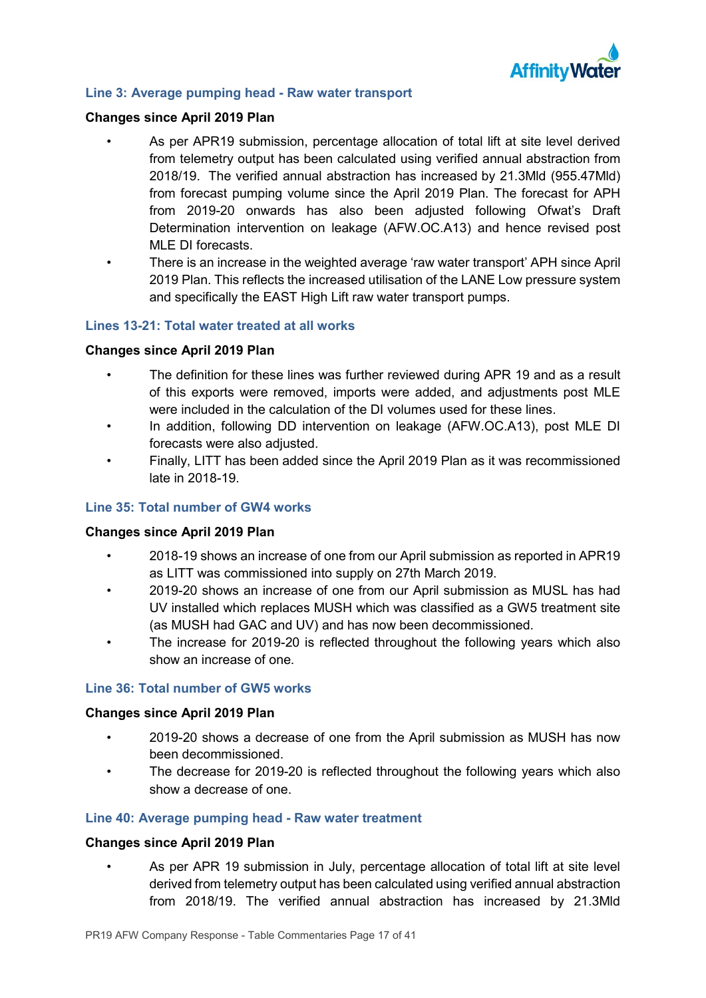

#### **Line 3: Average pumping head - Raw water transport**

#### **Changes since April 2019 Plan**

- As per APR19 submission, percentage allocation of total lift at site level derived from telemetry output has been calculated using verified annual abstraction from 2018/19. The verified annual abstraction has increased by 21.3Mld (955.47Mld) from forecast pumping volume since the April 2019 Plan. The forecast for APH from 2019-20 onwards has also been adjusted following Ofwat's Draft Determination intervention on leakage (AFW.OC.A13) and hence revised post MLE DI forecasts.
- There is an increase in the weighted average 'raw water transport' APH since April 2019 Plan. This reflects the increased utilisation of the LANE Low pressure system and specifically the EAST High Lift raw water transport pumps.

### **Lines 13-21: Total water treated at all works**

### **Changes since April 2019 Plan**

- The definition for these lines was further reviewed during APR 19 and as a result of this exports were removed, imports were added, and adjustments post MLE were included in the calculation of the DI volumes used for these lines.
- In addition, following DD intervention on leakage (AFW.OC.A13), post MLE DI forecasts were also adjusted.
- Finally, LITT has been added since the April 2019 Plan as it was recommissioned late in 2018-19.

## **Line 35: Total number of GW4 works**

#### **Changes since April 2019 Plan**

- 2018-19 shows an increase of one from our April submission as reported in APR19 as LITT was commissioned into supply on 27th March 2019.
- 2019-20 shows an increase of one from our April submission as MUSL has had UV installed which replaces MUSH which was classified as a GW5 treatment site (as MUSH had GAC and UV) and has now been decommissioned.
- The increase for 2019-20 is reflected throughout the following years which also show an increase of one.

#### **Line 36: Total number of GW5 works**

#### **Changes since April 2019 Plan**

- 2019-20 shows a decrease of one from the April submission as MUSH has now been decommissioned.
	- The decrease for 2019-20 is reflected throughout the following years which also show a decrease of one.

#### **Line 40: Average pumping head - Raw water treatment**

#### **Changes since April 2019 Plan**

• As per APR 19 submission in July, percentage allocation of total lift at site level derived from telemetry output has been calculated using verified annual abstraction from 2018/19. The verified annual abstraction has increased by 21.3Mld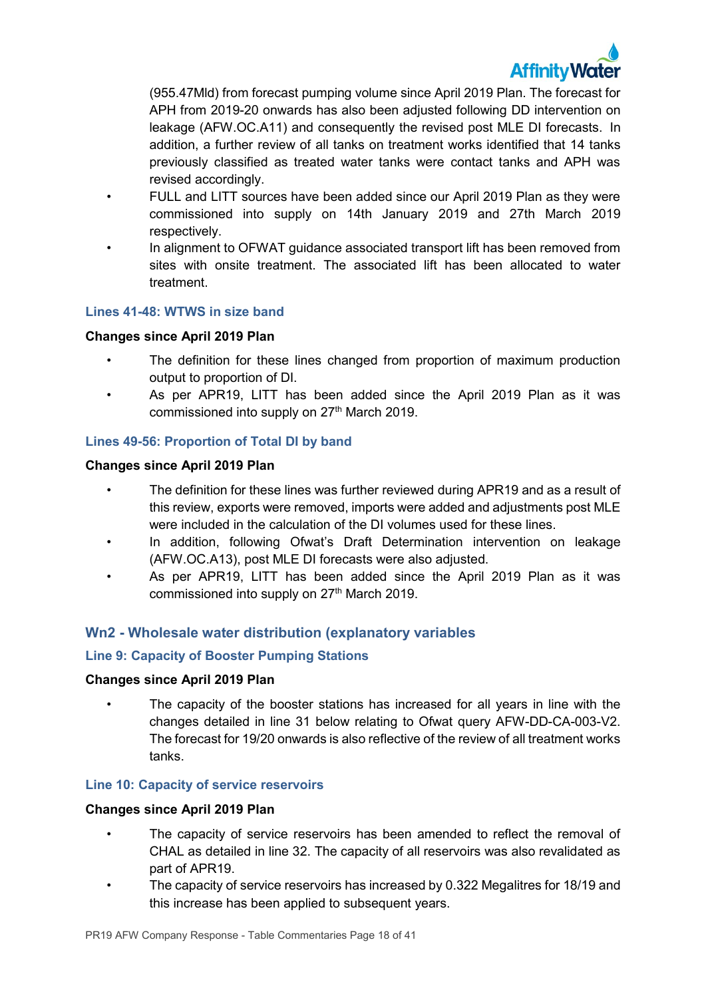

(955.47Mld) from forecast pumping volume since April 2019 Plan. The forecast for APH from 2019-20 onwards has also been adjusted following DD intervention on leakage (AFW.OC.A11) and consequently the revised post MLE DI forecasts. In addition, a further review of all tanks on treatment works identified that 14 tanks previously classified as treated water tanks were contact tanks and APH was revised accordingly.

- FULL and LITT sources have been added since our April 2019 Plan as they were commissioned into supply on 14th January 2019 and 27th March 2019 respectively.
- In alignment to OFWAT guidance associated transport lift has been removed from sites with onsite treatment. The associated lift has been allocated to water treatment.

### **Lines 41-48: WTWS in size band**

### **Changes since April 2019 Plan**

- The definition for these lines changed from proportion of maximum production output to proportion of DI.
- As per APR19, LITT has been added since the April 2019 Plan as it was commissioned into supply on 27<sup>th</sup> March 2019.

### **Lines 49-56: Proportion of Total DI by band**

### **Changes since April 2019 Plan**

- The definition for these lines was further reviewed during APR19 and as a result of this review, exports were removed, imports were added and adjustments post MLE were included in the calculation of the DI volumes used for these lines.
- In addition, following Ofwat's Draft Determination intervention on leakage (AFW.OC.A13), post MLE DI forecasts were also adjusted.
- As per APR19, LITT has been added since the April 2019 Plan as it was commissioned into supply on 27<sup>th</sup> March 2019.

## **Wn2 - Wholesale water distribution (explanatory variables**

#### **Line 9: Capacity of Booster Pumping Stations**

#### **Changes since April 2019 Plan**

The capacity of the booster stations has increased for all years in line with the changes detailed in line 31 below relating to Ofwat query AFW-DD-CA-003-V2. The forecast for 19/20 onwards is also reflective of the review of all treatment works tanks.

#### **Line 10: Capacity of service reservoirs**

- The capacity of service reservoirs has been amended to reflect the removal of CHAL as detailed in line 32. The capacity of all reservoirs was also revalidated as part of APR19.
- The capacity of service reservoirs has increased by 0.322 Megalitres for 18/19 and this increase has been applied to subsequent years.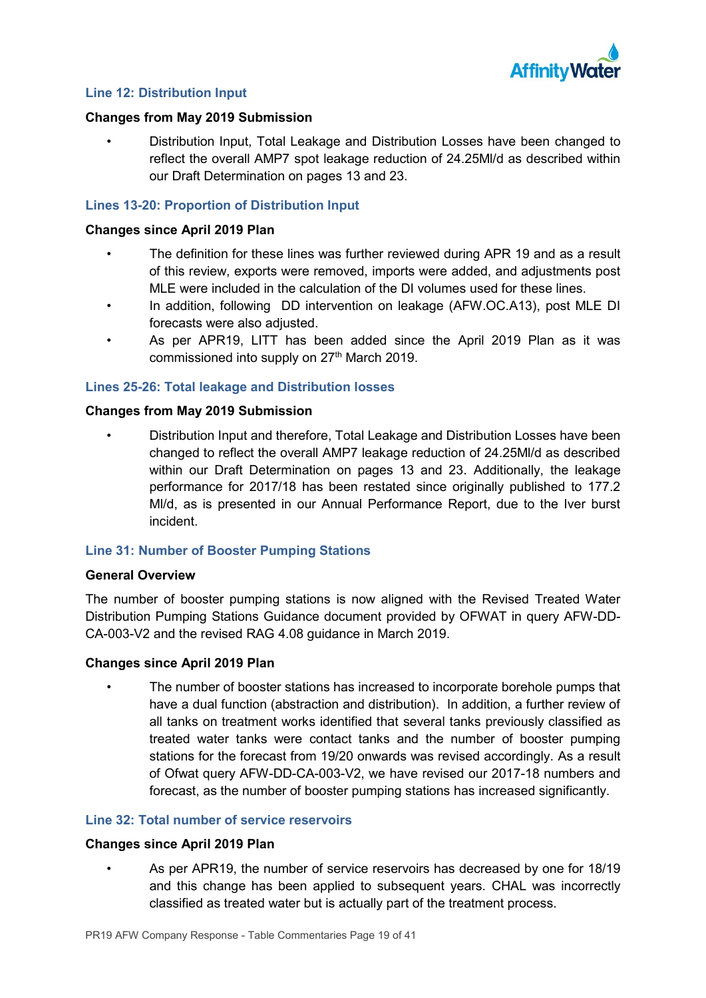

### **Line 12: Distribution Input**

#### **Changes from May 2019 Submission**

• Distribution Input, Total Leakage and Distribution Losses have been changed to reflect the overall AMP7 spot leakage reduction of 24.25Ml/d as described within our Draft Determination on pages 13 and 23.

### **Lines 13-20: Proportion of Distribution Input**

#### **Changes since April 2019 Plan**

- The definition for these lines was further reviewed during APR 19 and as a result of this review, exports were removed, imports were added, and adjustments post MLE were included in the calculation of the DI volumes used for these lines.
- In addition, following DD intervention on leakage (AFW.OC.A13), post MLE DI forecasts were also adjusted.
- As per APR19, LITT has been added since the April 2019 Plan as it was commissioned into supply on 27<sup>th</sup> March 2019.

### **Lines 25-26: Total leakage and Distribution losses**

#### **Changes from May 2019 Submission**

• Distribution Input and therefore, Total Leakage and Distribution Losses have been changed to reflect the overall AMP7 leakage reduction of 24.25Ml/d as described within our Draft Determination on pages 13 and 23. Additionally, the leakage performance for 2017/18 has been restated since originally published to 177.2 Ml/d, as is presented in our Annual Performance Report, due to the Iver burst incident.

#### **Line 31: Number of Booster Pumping Stations**

#### **General Overview**

The number of booster pumping stations is now aligned with the Revised Treated Water Distribution Pumping Stations Guidance document provided by OFWAT in query AFW-DD-CA-003-V2 and the revised RAG 4.08 guidance in March 2019.

#### **Changes since April 2019 Plan**

• The number of booster stations has increased to incorporate borehole pumps that have a dual function (abstraction and distribution). In addition, a further review of all tanks on treatment works identified that several tanks previously classified as treated water tanks were contact tanks and the number of booster pumping stations for the forecast from 19/20 onwards was revised accordingly. As a result of Ofwat query AFW-DD-CA-003-V2, we have revised our 2017-18 numbers and forecast, as the number of booster pumping stations has increased significantly.

#### **Line 32: Total number of service reservoirs**

#### **Changes since April 2019 Plan**

• As per APR19, the number of service reservoirs has decreased by one for 18/19 and this change has been applied to subsequent years. CHAL was incorrectly classified as treated water but is actually part of the treatment process.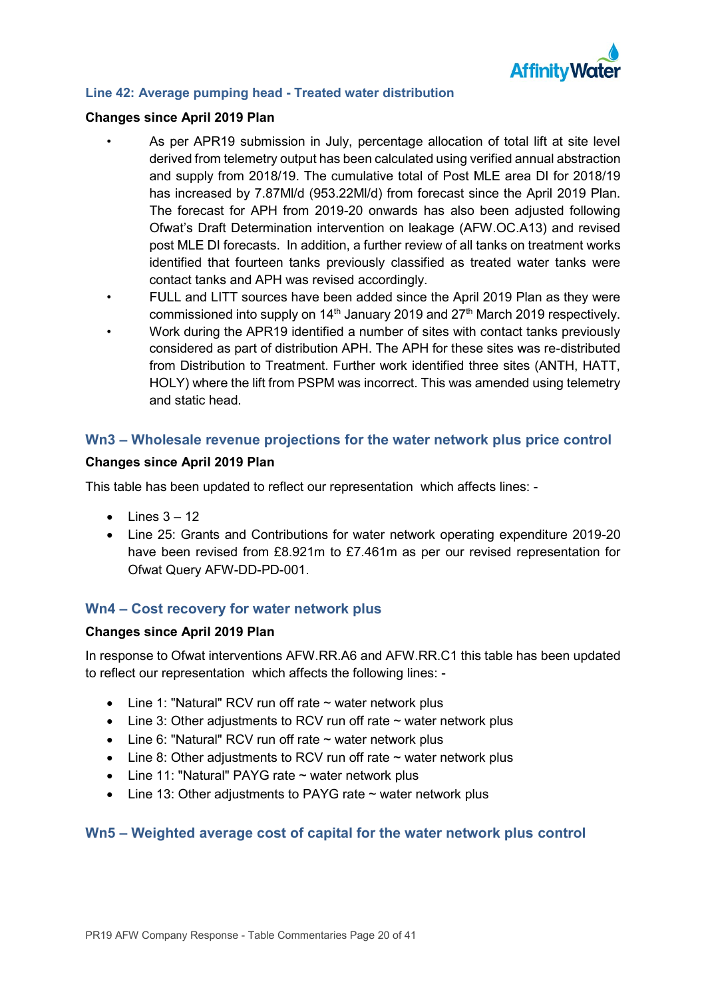

### **Line 42: Average pumping head - Treated water distribution**

#### **Changes since April 2019 Plan**

- As per APR19 submission in July, percentage allocation of total lift at site level derived from telemetry output has been calculated using verified annual abstraction and supply from 2018/19. The cumulative total of Post MLE area DI for 2018/19 has increased by 7.87Ml/d (953.22Ml/d) from forecast since the April 2019 Plan. The forecast for APH from 2019-20 onwards has also been adjusted following Ofwat's Draft Determination intervention on leakage (AFW.OC.A13) and revised post MLE DI forecasts. In addition, a further review of all tanks on treatment works identified that fourteen tanks previously classified as treated water tanks were contact tanks and APH was revised accordingly.
- FULL and LITT sources have been added since the April 2019 Plan as they were commissioned into supply on 14<sup>th</sup> January 2019 and 27<sup>th</sup> March 2019 respectively.
- Work during the APR19 identified a number of sites with contact tanks previously considered as part of distribution APH. The APH for these sites was re-distributed from Distribution to Treatment. Further work identified three sites (ANTH, HATT, HOLY) where the lift from PSPM was incorrect. This was amended using telemetry and static head.

## **Wn3 – Wholesale revenue projections for the water network plus price control**

### **Changes since April 2019 Plan**

This table has been updated to reflect our representation which affects lines: -

- $\bullet$  Lines  $3 12$
- Line 25: Grants and Contributions for water network operating expenditure 2019-20 have been revised from £8.921m to £7.461m as per our revised representation for Ofwat Query AFW-DD-PD-001.

## **Wn4 – Cost recovery for water network plus**

## **Changes since April 2019 Plan**

In response to Ofwat interventions AFW.RR.A6 and AFW.RR.C1 this table has been updated to reflect our representation which affects the following lines: -

- Line 1: "Natural" RCV run off rate ~ water network plus
- Line 3: Other adjustments to RCV run off rate  $\sim$  water network plus
- Line 6: "Natural" RCV run off rate  $\sim$  water network plus
- Line 8: Other adjustments to RCV run off rate  $\sim$  water network plus
- Line 11: "Natural" PAYG rate  $\sim$  water network plus
- Line 13: Other adjustments to PAYG rate ~ water network plus

## **Wn5 – Weighted average cost of capital for the water network plus control**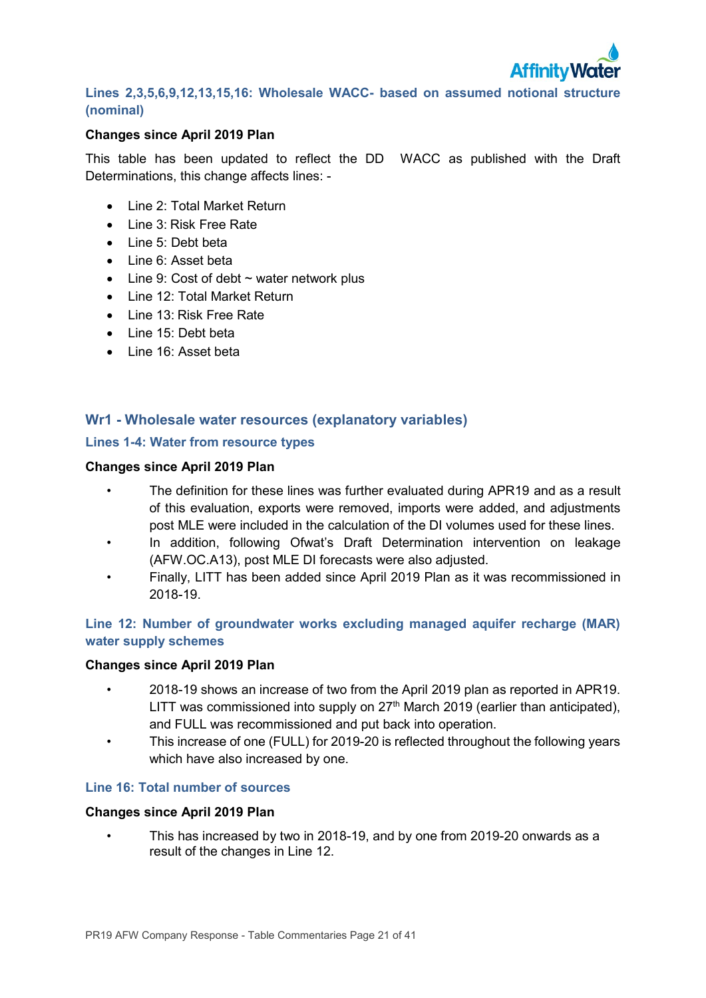

## **Lines 2,3,5,6,9,12,13,15,16: Wholesale WACC- based on assumed notional structure (nominal)**

### **Changes since April 2019 Plan**

This table has been updated to reflect the DD WACC as published with the Draft Determinations, this change affects lines: -

- Line 2: Total Market Return
- Line 3: Risk Free Rate
- Line 5: Debt beta
- Line 6: Asset beta
- Line 9: Cost of debt  $\sim$  water network plus
- Line 12: Total Market Return
- Line 13: Risk Free Rate
- Line 15: Debt beta
- Line 16: Asset beta

## **Wr1 - Wholesale water resources (explanatory variables)**

## **Lines 1-4: Water from resource types**

### **Changes since April 2019 Plan**

- The definition for these lines was further evaluated during APR19 and as a result of this evaluation, exports were removed, imports were added, and adjustments post MLE were included in the calculation of the DI volumes used for these lines.
- In addition, following Ofwat's Draft Determination intervention on leakage (AFW.OC.A13), post MLE DI forecasts were also adjusted.
- Finally, LITT has been added since April 2019 Plan as it was recommissioned in 2018-19.

## **Line 12: Number of groundwater works excluding managed aquifer recharge (MAR) water supply schemes**

#### **Changes since April 2019 Plan**

- 2018-19 shows an increase of two from the April 2019 plan as reported in APR19. LITT was commissioned into supply on  $27<sup>th</sup>$  March 2019 (earlier than anticipated), and FULL was recommissioned and put back into operation.
- This increase of one (FULL) for 2019-20 is reflected throughout the following years which have also increased by one.

## **Line 16: Total number of sources**

#### **Changes since April 2019 Plan**

• This has increased by two in 2018-19, and by one from 2019-20 onwards as a result of the changes in Line 12.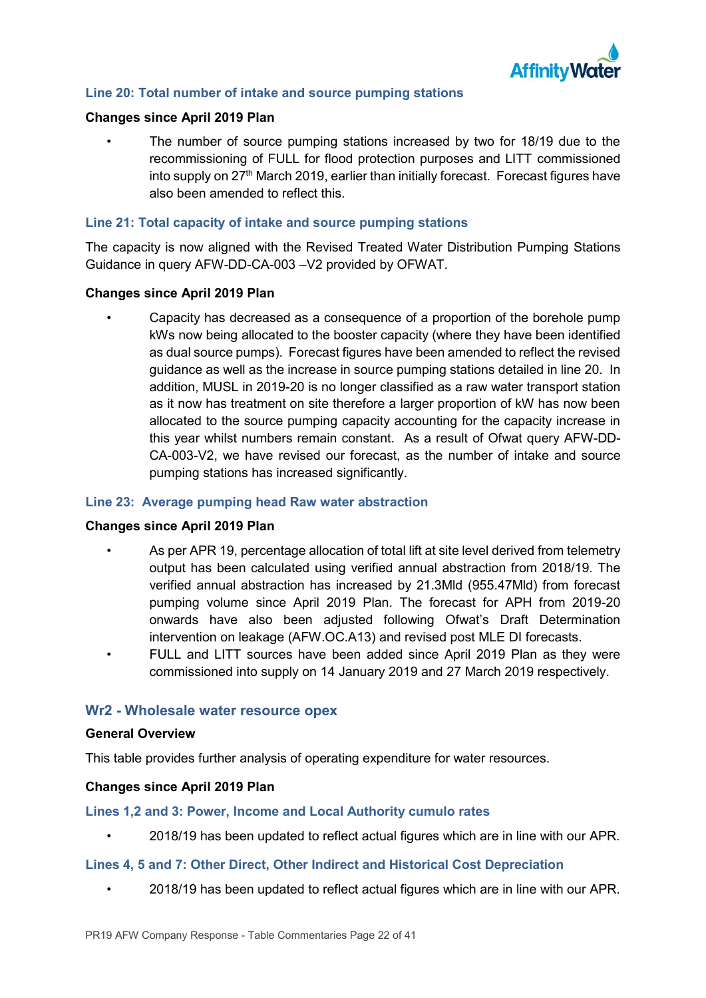

## **Line 20: Total number of intake and source pumping stations**

#### **Changes since April 2019 Plan**

• The number of source pumping stations increased by two for 18/19 due to the recommissioning of FULL for flood protection purposes and LITT commissioned into supply on 27<sup>th</sup> March 2019, earlier than initially forecast. Forecast figures have also been amended to reflect this.

### **Line 21: Total capacity of intake and source pumping stations**

The capacity is now aligned with the Revised Treated Water Distribution Pumping Stations Guidance in query AFW-DD-CA-003 –V2 provided by OFWAT.

#### **Changes since April 2019 Plan**

• Capacity has decreased as a consequence of a proportion of the borehole pump kWs now being allocated to the booster capacity (where they have been identified as dual source pumps). Forecast figures have been amended to reflect the revised guidance as well as the increase in source pumping stations detailed in line 20. In addition, MUSL in 2019-20 is no longer classified as a raw water transport station as it now has treatment on site therefore a larger proportion of kW has now been allocated to the source pumping capacity accounting for the capacity increase in this year whilst numbers remain constant. As a result of Ofwat query AFW-DD-CA-003-V2, we have revised our forecast, as the number of intake and source pumping stations has increased significantly.

#### **Line 23: Average pumping head Raw water abstraction**

#### **Changes since April 2019 Plan**

- As per APR 19, percentage allocation of total lift at site level derived from telemetry output has been calculated using verified annual abstraction from 2018/19. The verified annual abstraction has increased by 21.3Mld (955.47Mld) from forecast pumping volume since April 2019 Plan. The forecast for APH from 2019-20 onwards have also been adjusted following Ofwat's Draft Determination intervention on leakage (AFW.OC.A13) and revised post MLE DI forecasts.
- FULL and LITT sources have been added since April 2019 Plan as they were commissioned into supply on 14 January 2019 and 27 March 2019 respectively.

#### **Wr2 - Wholesale water resource opex**

#### **General Overview**

This table provides further analysis of operating expenditure for water resources.

#### **Changes since April 2019 Plan**

#### **Lines 1,2 and 3: Power, Income and Local Authority cumulo rates**

• 2018/19 has been updated to reflect actual figures which are in line with our APR.

#### **Lines 4, 5 and 7: Other Direct, Other Indirect and Historical Cost Depreciation**

• 2018/19 has been updated to reflect actual figures which are in line with our APR.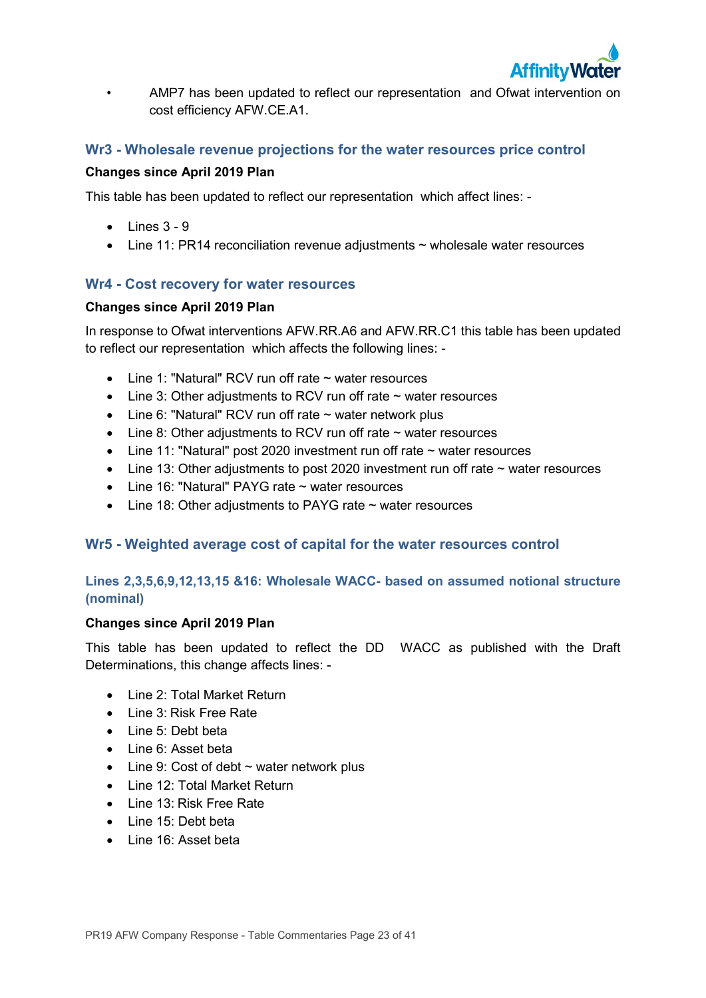

• AMP7 has been updated to reflect our representation and Ofwat intervention on cost efficiency AFW.CE.A1.

## **Wr3 - Wholesale revenue projections for the water resources price control**

### **Changes since April 2019 Plan**

This table has been updated to reflect our representation which affect lines: -

- $\bullet$  Lines  $3 9$
- Line 11: PR14 reconciliation revenue adjustments ~ wholesale water resources

## **Wr4 - Cost recovery for water resources**

### **Changes since April 2019 Plan**

In response to Ofwat interventions AFW.RR.A6 and AFW.RR.C1 this table has been updated to reflect our representation which affects the following lines: -

- $\bullet$  Line 1: "Natural" RCV run off rate  $\sim$  water resources
- Line 3: Other adjustments to RCV run off rate  $\sim$  water resources
- Line 6: "Natural" RCV run off rate  $\sim$  water network plus
- Line 8: Other adjustments to RCV run off rate  $\sim$  water resources
- Line 11: "Natural" post 2020 investment run off rate  $\sim$  water resources
- Line 13: Other adjustments to post 2020 investment run off rate  $\sim$  water resources
- Line 16: "Natural" PAYG rate ~ water resources
- Line 18: Other adjustments to PAYG rate ~ water resources

## **Wr5 - Weighted average cost of capital for the water resources control**

## **Lines 2,3,5,6,9,12,13,15 &16: Wholesale WACC- based on assumed notional structure (nominal)**

## **Changes since April 2019 Plan**

This table has been updated to reflect the DD WACC as published with the Draft Determinations, this change affects lines: -

- Line 2: Total Market Return
- Line 3: Risk Free Rate
- Line 5: Debt beta
- Line 6: Asset beta
- $\bullet$  Line 9: Cost of debt  $\sim$  water network plus
- Line 12: Total Market Return
- Line 13: Risk Free Rate
- Line 15: Debt beta
- Line 16: Asset beta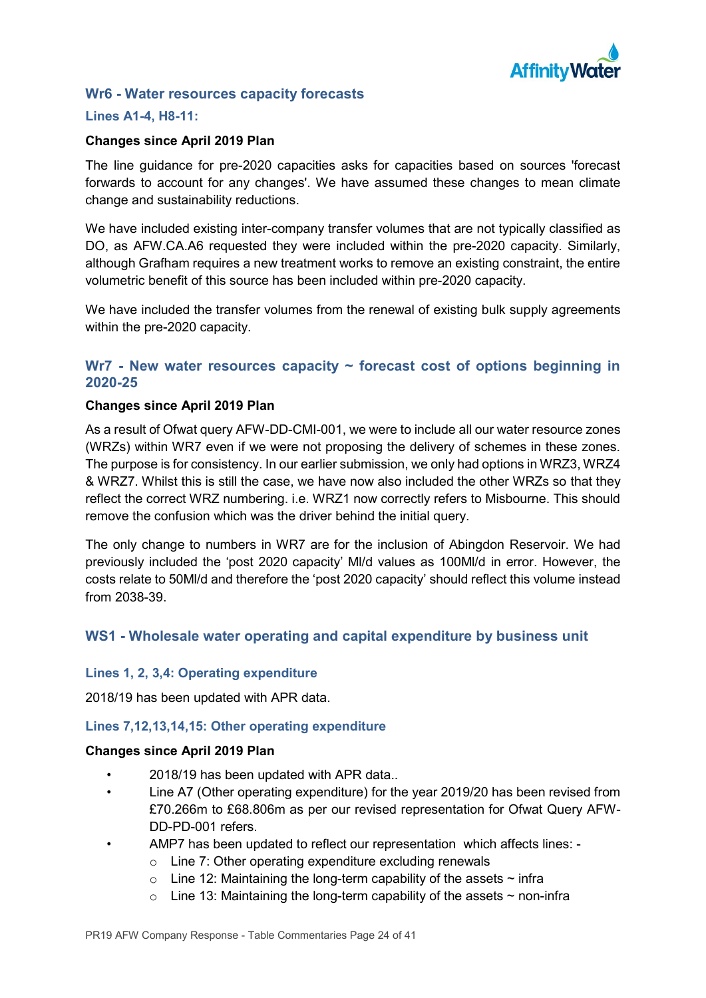

## **Wr6 - Water resources capacity forecasts**

## **Lines A1-4, H8-11:**

### **Changes since April 2019 Plan**

The line guidance for pre-2020 capacities asks for capacities based on sources 'forecast forwards to account for any changes'. We have assumed these changes to mean climate change and sustainability reductions.

We have included existing inter-company transfer volumes that are not typically classified as DO, as AFW.CA.A6 requested they were included within the pre-2020 capacity. Similarly, although Grafham requires a new treatment works to remove an existing constraint, the entire volumetric benefit of this source has been included within pre-2020 capacity.

We have included the transfer volumes from the renewal of existing bulk supply agreements within the pre-2020 capacity.

## **Wr7 - New water resources capacity ~ forecast cost of options beginning in 2020-25**

### **Changes since April 2019 Plan**

As a result of Ofwat query AFW-DD-CMI-001, we were to include all our water resource zones (WRZs) within WR7 even if we were not proposing the delivery of schemes in these zones. The purpose is for consistency. In our earlier submission, we only had options in WRZ3, WRZ4 & WRZ7. Whilst this is still the case, we have now also included the other WRZs so that they reflect the correct WRZ numbering. i.e. WRZ1 now correctly refers to Misbourne. This should remove the confusion which was the driver behind the initial query.

The only change to numbers in WR7 are for the inclusion of Abingdon Reservoir. We had previously included the 'post 2020 capacity' Ml/d values as 100Ml/d in error. However, the costs relate to 50Ml/d and therefore the 'post 2020 capacity' should reflect this volume instead from 2038-39.

## **WS1 - Wholesale water operating and capital expenditure by business unit**

#### **Lines 1, 2, 3,4: Operating expenditure**

2018/19 has been updated with APR data.

## **Lines 7,12,13,14,15: Other operating expenditure**

- 2018/19 has been updated with APR data..
- Line A7 (Other operating expenditure) for the year 2019/20 has been revised from £70.266m to £68.806m as per our revised representation for Ofwat Query AFW-DD-PD-001 refers.
- AMP7 has been updated to reflect our representation which affects lines:
	- o Line 7: Other operating expenditure excluding renewals
	- $\circ$  Line 12: Maintaining the long-term capability of the assets  $\sim$  infra
	- $\circ$  Line 13: Maintaining the long-term capability of the assets  $\sim$  non-infra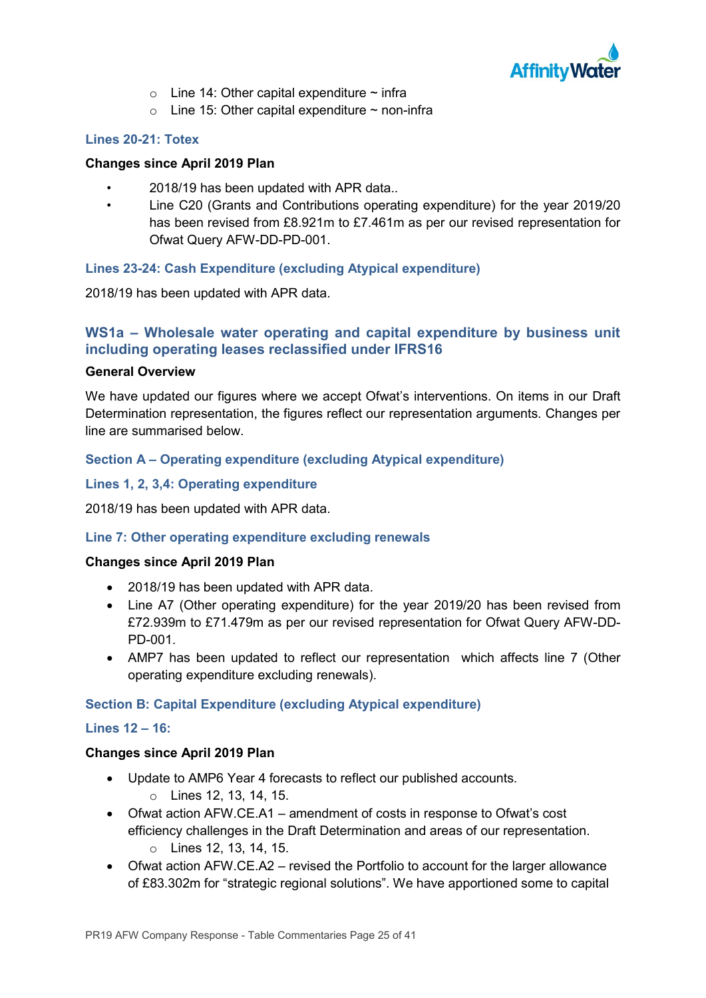

- $\circ$  Line 14: Other capital expenditure  $\sim$  infra
- $\circ$  Line 15: Other capital expenditure  $\sim$  non-infra

## **Lines 20-21: Totex**

### **Changes since April 2019 Plan**

- 2018/19 has been updated with APR data..
- Line C20 (Grants and Contributions operating expenditure) for the year 2019/20 has been revised from £8.921m to £7.461m as per our revised representation for Ofwat Query AFW-DD-PD-001.

## **Lines 23-24: Cash Expenditure (excluding Atypical expenditure)**

2018/19 has been updated with APR data.

## **WS1a – Wholesale water operating and capital expenditure by business unit including operating leases reclassified under IFRS16**

### **General Overview**

We have updated our figures where we accept Ofwat's interventions. On items in our Draft Determination representation, the figures reflect our representation arguments. Changes per line are summarised below.

## **Section A – Operating expenditure (excluding Atypical expenditure)**

### **Lines 1, 2, 3,4: Operating expenditure**

2018/19 has been updated with APR data.

### **Line 7: Other operating expenditure excluding renewals**

#### **Changes since April 2019 Plan**

- 2018/19 has been updated with APR data.
- Line A7 (Other operating expenditure) for the year 2019/20 has been revised from £72.939m to £71.479m as per our revised representation for Ofwat Query AFW-DD-PD-001.
- AMP7 has been updated to reflect our representation which affects line 7 (Other operating expenditure excluding renewals).

## **Section B: Capital Expenditure (excluding Atypical expenditure)**

#### **Lines 12 – 16:**

- Update to AMP6 Year 4 forecasts to reflect our published accounts. o Lines 12, 13, 14, 15.
- Ofwat action AFW.CE.A1 amendment of costs in response to Ofwat's cost efficiency challenges in the Draft Determination and areas of our representation. o Lines 12, 13, 14, 15.
- Ofwat action AFW.CE.A2 revised the Portfolio to account for the larger allowance of £83.302m for "strategic regional solutions". We have apportioned some to capital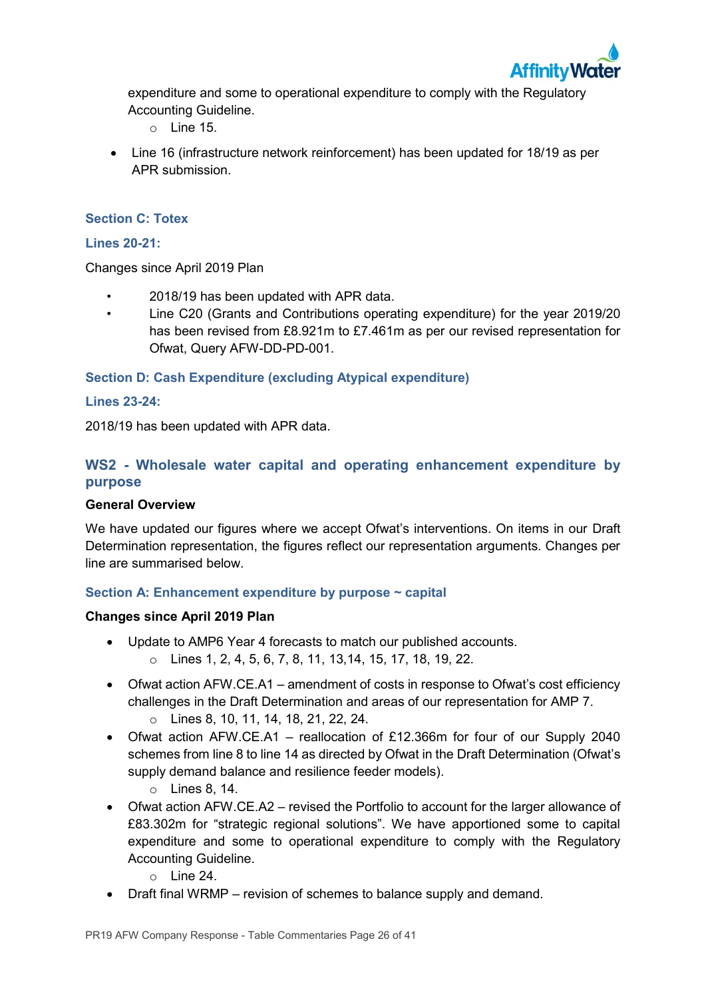

expenditure and some to operational expenditure to comply with the Regulatory Accounting Guideline.

- $\circ$  Line 15.
- Line 16 (infrastructure network reinforcement) has been updated for 18/19 as per APR submission.

## **Section C: Totex**

## **Lines 20-21:**

Changes since April 2019 Plan

- 2018/19 has been updated with APR data.
- Line C20 (Grants and Contributions operating expenditure) for the year 2019/20 has been revised from £8.921m to £7.461m as per our revised representation for Ofwat, Query AFW-DD-PD-001.

**Section D: Cash Expenditure (excluding Atypical expenditure)**

### **Lines 23-24:**

2018/19 has been updated with APR data.

## **WS2 - Wholesale water capital and operating enhancement expenditure by purpose**

#### **General Overview**

We have updated our figures where we accept Ofwat's interventions. On items in our Draft Determination representation, the figures reflect our representation arguments. Changes per line are summarised below.

## **Section A: Enhancement expenditure by purpose ~ capital**

- Update to AMP6 Year 4 forecasts to match our published accounts.
	- o Lines 1, 2, 4, 5, 6, 7, 8, 11, 13,14, 15, 17, 18, 19, 22.
- Ofwat action AFW.CE.A1 amendment of costs in response to Ofwat's cost efficiency challenges in the Draft Determination and areas of our representation for AMP 7. o Lines 8, 10, 11, 14, 18, 21, 22, 24.
- Ofwat action AFW.CE.A1 reallocation of £12.366m for four of our Supply 2040 schemes from line 8 to line 14 as directed by Ofwat in the Draft Determination (Ofwat's supply demand balance and resilience feeder models).
	- o Lines 8, 14.
- Ofwat action AFW.CE.A2 revised the Portfolio to account for the larger allowance of £83.302m for "strategic regional solutions". We have apportioned some to capital expenditure and some to operational expenditure to comply with the Regulatory Accounting Guideline.
	- $\circ$  Line 24.
- Draft final WRMP revision of schemes to balance supply and demand.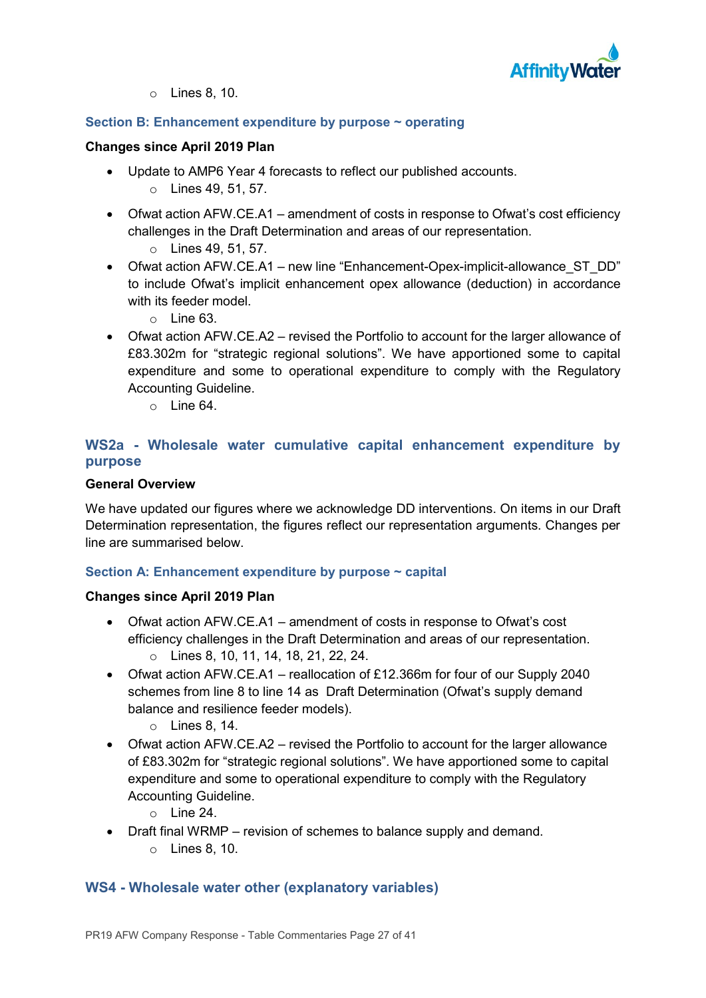

o Lines 8, 10.

## **Section B: Enhancement expenditure by purpose ~ operating**

### **Changes since April 2019 Plan**

- Update to AMP6 Year 4 forecasts to reflect our published accounts.
	- o Lines 49, 51, 57.
- Ofwat action AFW.CE.A1 amendment of costs in response to Ofwat's cost efficiency challenges in the Draft Determination and areas of our representation.
	- o Lines 49, 51, 57.
- Ofwat action AFW.CE.A1 new line "Enhancement-Opex-implicit-allowance ST\_DD" to include Ofwat's implicit enhancement opex allowance (deduction) in accordance with its feeder model.
	- $\circ$  Line 63.
- Ofwat action AFW.CE.A2 revised the Portfolio to account for the larger allowance of £83.302m for "strategic regional solutions". We have apportioned some to capital expenditure and some to operational expenditure to comply with the Regulatory Accounting Guideline.
	- $\circ$  Line 64.

## **WS2a - Wholesale water cumulative capital enhancement expenditure by purpose**

## **General Overview**

We have updated our figures where we acknowledge DD interventions. On items in our Draft Determination representation, the figures reflect our representation arguments. Changes per line are summarised below.

## **Section A: Enhancement expenditure by purpose ~ capital**

## **Changes since April 2019 Plan**

- Ofwat action AFW.CE.A1 amendment of costs in response to Ofwat's cost efficiency challenges in the Draft Determination and areas of our representation. o Lines 8, 10, 11, 14, 18, 21, 22, 24.
- Ofwat action AFW.CE.A1 reallocation of £12.366m for four of our Supply 2040 schemes from line 8 to line 14 as Draft Determination (Ofwat's supply demand balance and resilience feeder models).
	- o Lines 8, 14.
- Ofwat action AFW.CE.A2 revised the Portfolio to account for the larger allowance of £83.302m for "strategic regional solutions". We have apportioned some to capital expenditure and some to operational expenditure to comply with the Regulatory Accounting Guideline.
	- $\circ$  Line 24.
- Draft final WRMP revision of schemes to balance supply and demand. o Lines 8, 10.

## **WS4 - Wholesale water other (explanatory variables)**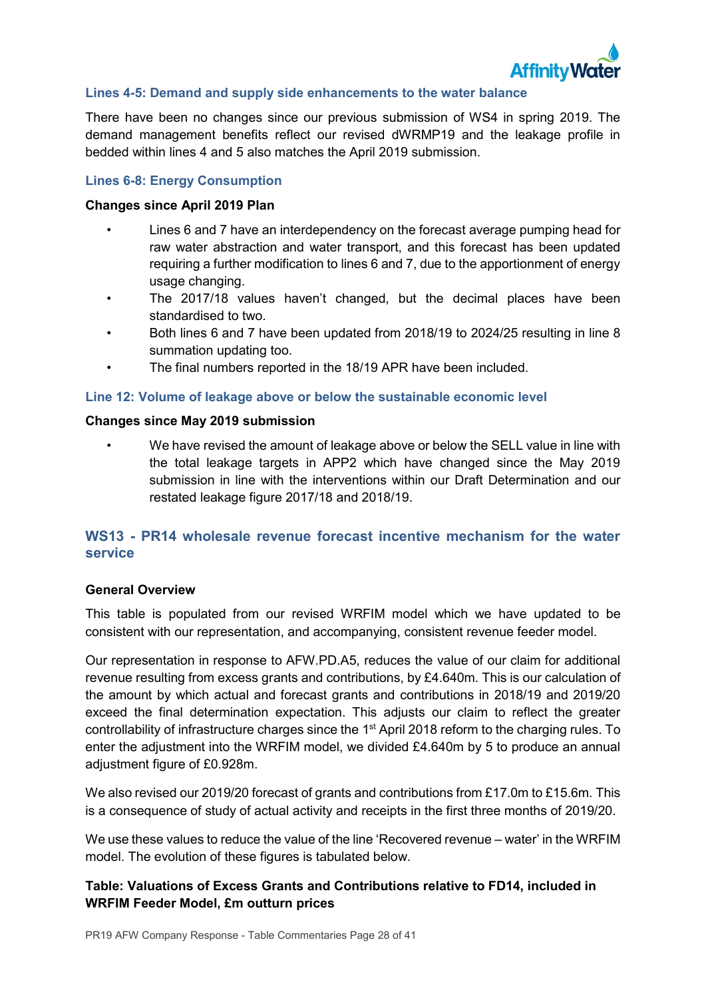

## **Lines 4-5: Demand and supply side enhancements to the water balance**

There have been no changes since our previous submission of WS4 in spring 2019. The demand management benefits reflect our revised dWRMP19 and the leakage profile in bedded within lines 4 and 5 also matches the April 2019 submission.

## **Lines 6-8: Energy Consumption**

## **Changes since April 2019 Plan**

- Lines 6 and 7 have an interdependency on the forecast average pumping head for raw water abstraction and water transport, and this forecast has been updated requiring a further modification to lines 6 and 7, due to the apportionment of energy usage changing.
- The 2017/18 values haven't changed, but the decimal places have been standardised to two.
- Both lines 6 and 7 have been updated from 2018/19 to 2024/25 resulting in line 8 summation updating too.
- The final numbers reported in the 18/19 APR have been included.

### **Line 12: Volume of leakage above or below the sustainable economic level**

### **Changes since May 2019 submission**

• We have revised the amount of leakage above or below the SELL value in line with the total leakage targets in APP2 which have changed since the May 2019 submission in line with the interventions within our Draft Determination and our restated leakage figure 2017/18 and 2018/19.

## **WS13 - PR14 wholesale revenue forecast incentive mechanism for the water service**

## **General Overview**

This table is populated from our revised WRFIM model which we have updated to be consistent with our representation, and accompanying, consistent revenue feeder model.

Our representation in response to AFW.PD.A5, reduces the value of our claim for additional revenue resulting from excess grants and contributions, by £4.640m. This is our calculation of the amount by which actual and forecast grants and contributions in 2018/19 and 2019/20 exceed the final determination expectation. This adjusts our claim to reflect the greater controllability of infrastructure charges since the 1<sup>st</sup> April 2018 reform to the charging rules. To enter the adjustment into the WRFIM model, we divided £4.640m by 5 to produce an annual adjustment figure of £0.928m.

We also revised our 2019/20 forecast of grants and contributions from £17.0m to £15.6m. This is a consequence of study of actual activity and receipts in the first three months of 2019/20.

We use these values to reduce the value of the line 'Recovered revenue – water' in the WRFIM model. The evolution of these figures is tabulated below.

## **Table: Valuations of Excess Grants and Contributions relative to FD14, included in WRFIM Feeder Model, £m outturn prices**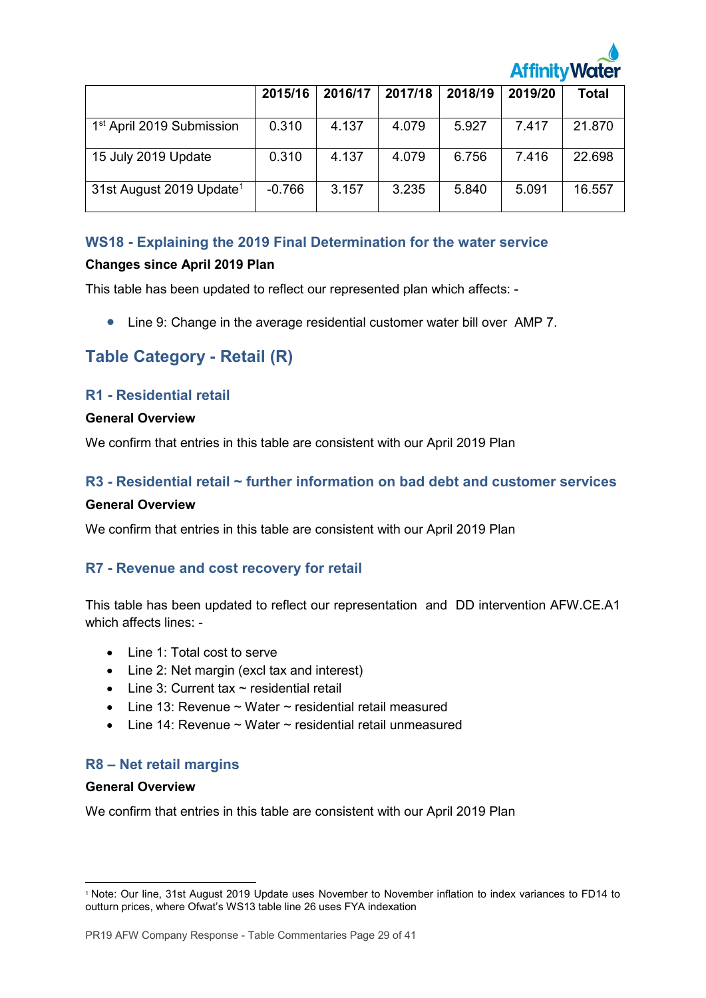

|                                       | 2015/16  | 2016/17 | 2017/18 | 2018/19 | 2019/20 | <b>Total</b> |
|---------------------------------------|----------|---------|---------|---------|---------|--------------|
| 1 <sup>st</sup> April 2019 Submission | 0.310    | 4.137   | 4.079   | 5.927   | 7.417   | 21.870       |
| 15 July 2019 Update                   | 0.310    | 4.137   | 4.079   | 6.756   | 7.416   | 22.698       |
| 31st August 2019 Update <sup>1</sup>  | $-0.766$ | 3.157   | 3.235   | 5.840   | 5.091   | 16.557       |

## **WS18 - Explaining the 2019 Final Determination for the water service**

## **Changes since April 2019 Plan**

This table has been updated to reflect our represented plan which affects: -

• Line 9: Change in the average residential customer water bill over AMP 7.

# **Table Category - Retail (R)**

## **R1 - Residential retail**

### **General Overview**

We confirm that entries in this table are consistent with our April 2019 Plan

# **R3 - Residential retail ~ further information on bad debt and customer services**

## **General Overview**

We confirm that entries in this table are consistent with our April 2019 Plan

## **R7 - Revenue and cost recovery for retail**

This table has been updated to reflect our representation and DD intervention AFW.CE.A1 which affects lines: -

- Line 1: Total cost to serve
- Line 2: Net margin (excl tax and interest)
- Line 3: Current tax  $\sim$  residential retail
- Line 13: Revenue  $\sim$  Water  $\sim$  residential retail measured
- Line 14: Revenue ~ Water ~ residential retail unmeasured

## **R8 – Net retail margins**

#### **General Overview**

-

We confirm that entries in this table are consistent with our April 2019 Plan

<sup>1</sup> Note: Our line, 31st August 2019 Update uses November to November inflation to index variances to FD14 to outturn prices, where Ofwat's WS13 table line 26 uses FYA indexation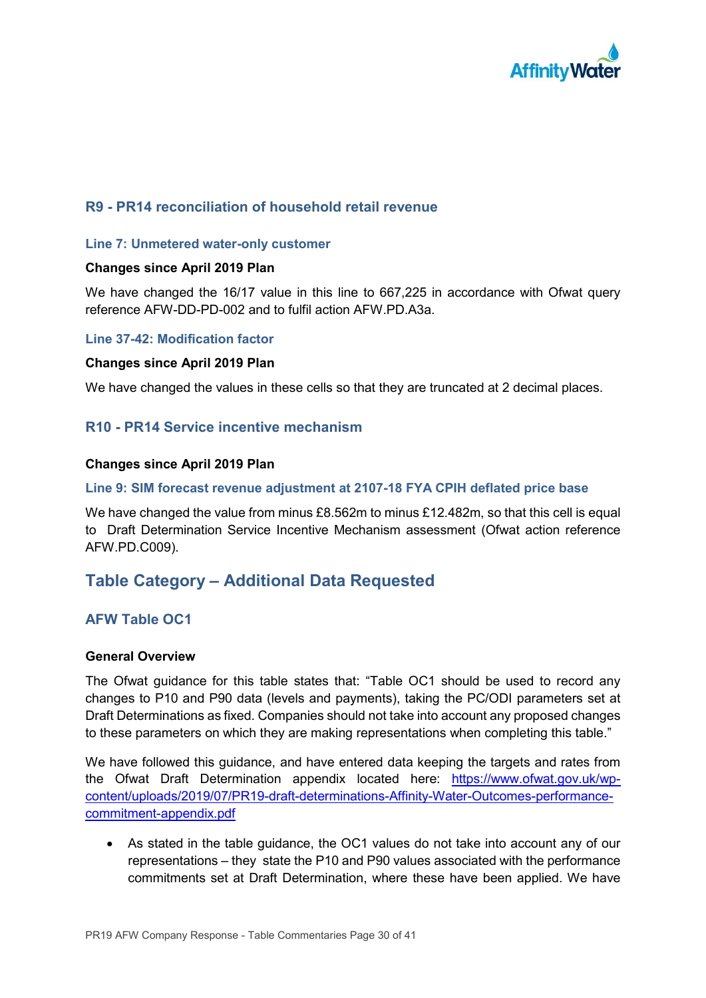

## **R9 - PR14 reconciliation of household retail revenue**

#### **Line 7: Unmetered water-only customer**

### **Changes since April 2019 Plan**

We have changed the 16/17 value in this line to 667,225 in accordance with Ofwat query reference AFW-DD-PD-002 and to fulfil action AFW.PD.A3a.

#### **Line 37-42: Modification factor**

#### **Changes since April 2019 Plan**

We have changed the values in these cells so that they are truncated at 2 decimal places.

## **R10 - PR14 Service incentive mechanism**

### **Changes since April 2019 Plan**

### **Line 9: SIM forecast revenue adjustment at 2107-18 FYA CPIH deflated price base**

We have changed the value from minus £8.562m to minus £12.482m, so that this cell is equal to Draft Determination Service Incentive Mechanism assessment (Ofwat action reference AFW.PD.C009).

## **Table Category – Additional Data Requested**

## **AFW Table OC1**

## **General Overview**

The Ofwat guidance for this table states that: "Table OC1 should be used to record any changes to P10 and P90 data (levels and payments), taking the PC/ODI parameters set at Draft Determinations as fixed. Companies should not take into account any proposed changes to these parameters on which they are making representations when completing this table."

We have followed this guidance, and have entered data keeping the targets and rates from the Ofwat Draft Determination appendix located here: [https://www.ofwat.gov.uk/wp](https://www.ofwat.gov.uk/wp-content/uploads/2019/07/PR19-draft-determinations-Affinity-Water-Outcomes-performance-commitment-appendix.pdf)[content/uploads/2019/07/PR19-draft-determinations-Affinity-Water-Outcomes-performance](https://www.ofwat.gov.uk/wp-content/uploads/2019/07/PR19-draft-determinations-Affinity-Water-Outcomes-performance-commitment-appendix.pdf)[commitment-appendix.pdf](https://www.ofwat.gov.uk/wp-content/uploads/2019/07/PR19-draft-determinations-Affinity-Water-Outcomes-performance-commitment-appendix.pdf)

• As stated in the table guidance, the OC1 values do not take into account any of our representations – they state the P10 and P90 values associated with the performance commitments set at Draft Determination, where these have been applied. We have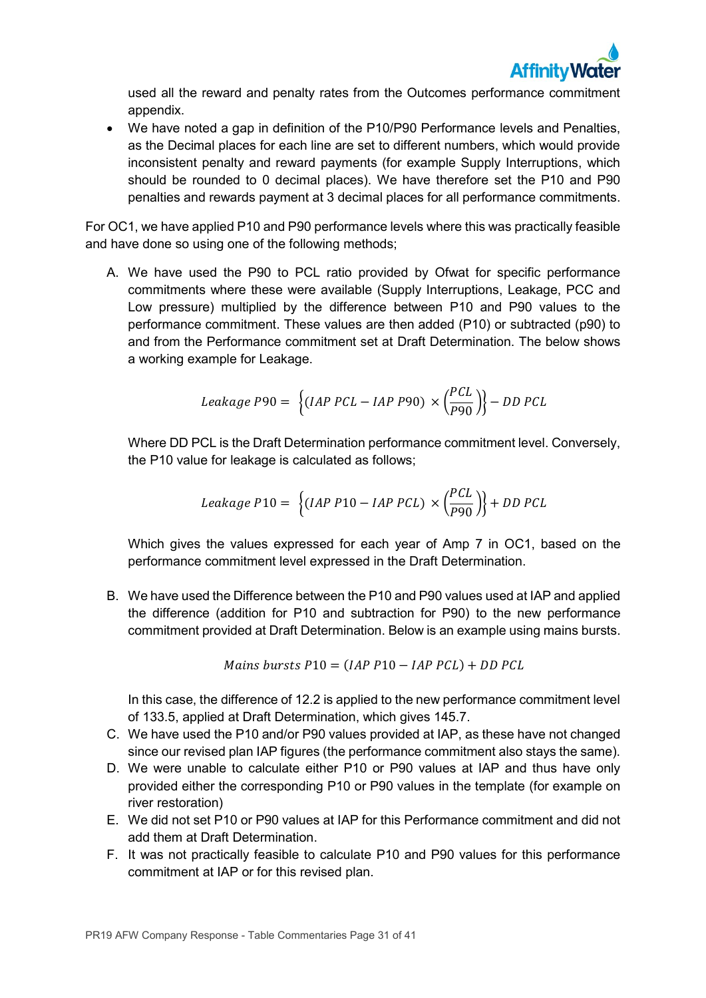

used all the reward and penalty rates from the Outcomes performance commitment appendix.

• We have noted a gap in definition of the P10/P90 Performance levels and Penalties, as the Decimal places for each line are set to different numbers, which would provide inconsistent penalty and reward payments (for example Supply Interruptions, which should be rounded to 0 decimal places). We have therefore set the P10 and P90 penalties and rewards payment at 3 decimal places for all performance commitments.

For OC1, we have applied P10 and P90 performance levels where this was practically feasible and have done so using one of the following methods;

A. We have used the P90 to PCL ratio provided by Ofwat for specific performance commitments where these were available (Supply Interruptions, Leakage, PCC and Low pressure) multiplied by the difference between P10 and P90 values to the performance commitment. These values are then added (P10) or subtracted (p90) to and from the Performance commitment set at Draft Determination. The below shows a working example for Leakage.

$$
Leakage P90 = \left\{ (IAP \, PCL - IAP \, P90) \times \left( \frac{PCL}{P90} \right) \right\} - DD \, PCL
$$

Where DD PCL is the Draft Determination performance commitment level. Conversely, the P10 value for leakage is calculated as follows;

$$
Leakage P10 = \left\{ (IAP P10 - IAP PCL) \times \left( \frac{PCL}{P90} \right) \right\} + DD PCL
$$

Which gives the values expressed for each year of Amp 7 in OC1, based on the performance commitment level expressed in the Draft Determination.

B. We have used the Difference between the P10 and P90 values used at IAP and applied the difference (addition for P10 and subtraction for P90) to the new performance commitment provided at Draft Determination. Below is an example using mains bursts.

10 = ( 10 − ) +

In this case, the difference of 12.2 is applied to the new performance commitment level of 133.5, applied at Draft Determination, which gives 145.7.

- C. We have used the P10 and/or P90 values provided at IAP, as these have not changed since our revised plan IAP figures (the performance commitment also stays the same).
- D. We were unable to calculate either P10 or P90 values at IAP and thus have only provided either the corresponding P10 or P90 values in the template (for example on river restoration)
- E. We did not set P10 or P90 values at IAP for this Performance commitment and did not add them at Draft Determination.
- F. It was not practically feasible to calculate P10 and P90 values for this performance commitment at IAP or for this revised plan.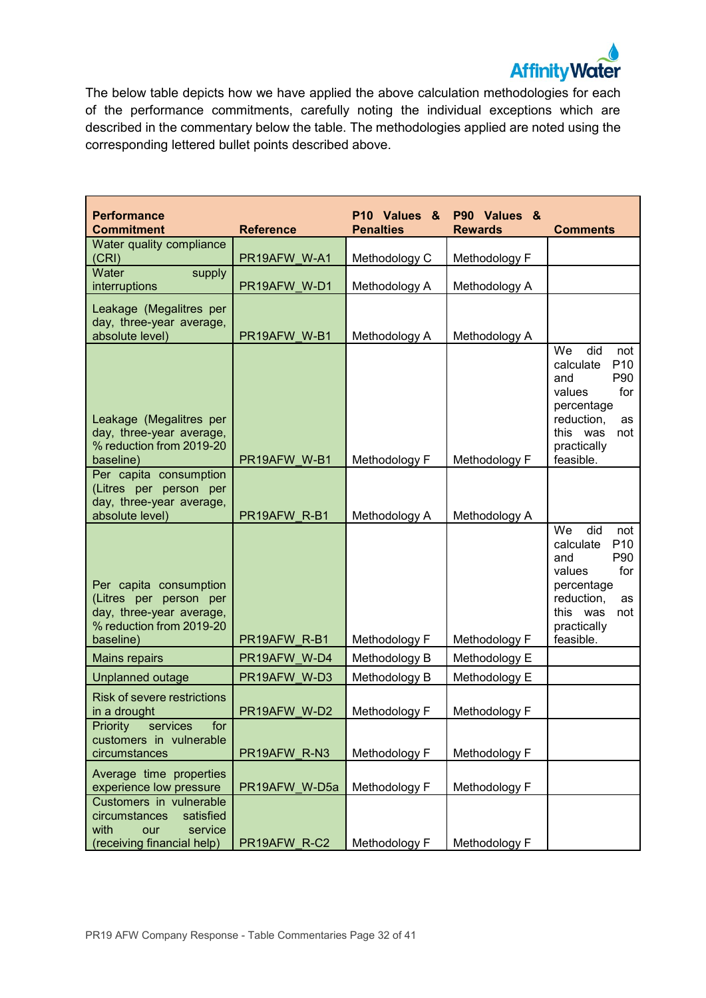

The below table depicts how we have applied the above calculation methodologies for each of the performance commitments, carefully noting the individual exceptions which are described in the commentary below the table. The methodologies applied are noted using the corresponding lettered bullet points described above.

| <b>Performance</b><br><b>Commitment</b>                                                                               | <b>Reference</b> | P10 Values &<br><b>Penalties</b> | P90 Values &<br><b>Rewards</b> | <b>Comments</b>                                                                                                                                                  |
|-----------------------------------------------------------------------------------------------------------------------|------------------|----------------------------------|--------------------------------|------------------------------------------------------------------------------------------------------------------------------------------------------------------|
| Water quality compliance                                                                                              |                  |                                  |                                |                                                                                                                                                                  |
| (CRI)                                                                                                                 | PR19AFW W-A1     | Methodology C                    | Methodology F                  |                                                                                                                                                                  |
| supply<br>Water<br>interruptions                                                                                      | PR19AFW W-D1     | Methodology A                    | Methodology A                  |                                                                                                                                                                  |
| Leakage (Megalitres per<br>day, three-year average,<br>absolute level)                                                | PR19AFW W-B1     | Methodology A                    | Methodology A                  |                                                                                                                                                                  |
| Leakage (Megalitres per<br>day, three-year average,<br>% reduction from 2019-20<br>baseline)                          | PR19AFW W-B1     | Methodology F                    | Methodology F                  | did<br>We<br>not<br>P <sub>10</sub><br>calculate<br>P90<br>and<br>values<br>for<br>percentage<br>reduction,<br>as<br>this was<br>not<br>practically<br>feasible. |
| Per capita consumption<br>(Litres per person per<br>day, three-year average,<br>absolute level)                       | PR19AFW R-B1     | Methodology A                    | Methodology A                  |                                                                                                                                                                  |
| Per capita consumption<br>(Litres per person per<br>day, three-year average,<br>% reduction from 2019-20<br>baseline) | PR19AFW R-B1     | Methodology F                    | Methodology F                  | We<br>did<br>not<br>P <sub>10</sub><br>calculate<br>P90<br>and<br>for<br>values<br>percentage<br>reduction,<br>as<br>this was<br>not<br>practically<br>feasible. |
| <b>Mains repairs</b>                                                                                                  | PR19AFW W-D4     | Methodology B                    | Methodology E                  |                                                                                                                                                                  |
| Unplanned outage                                                                                                      | PR19AFW W-D3     | Methodology B                    | Methodology E                  |                                                                                                                                                                  |
| <b>Risk of severe restrictions</b><br>in a drought                                                                    | PR19AFW W-D2     | Methodology F                    | Methodology F                  |                                                                                                                                                                  |
| Priority<br>services<br>for<br>customers in vulnerable<br>circumstances                                               | PR19AFW_R-N3     | Methodology F                    | Methodology F                  |                                                                                                                                                                  |
| Average time properties<br>experience low pressure                                                                    | PR19AFW W-D5a    | Methodology F                    | Methodology F                  |                                                                                                                                                                  |
| Customers in vulnerable<br>circumstances<br>satisfied<br>with<br>our<br>service<br>(receiving financial help)         | PR19AFW R-C2     | Methodology F                    | Methodology F                  |                                                                                                                                                                  |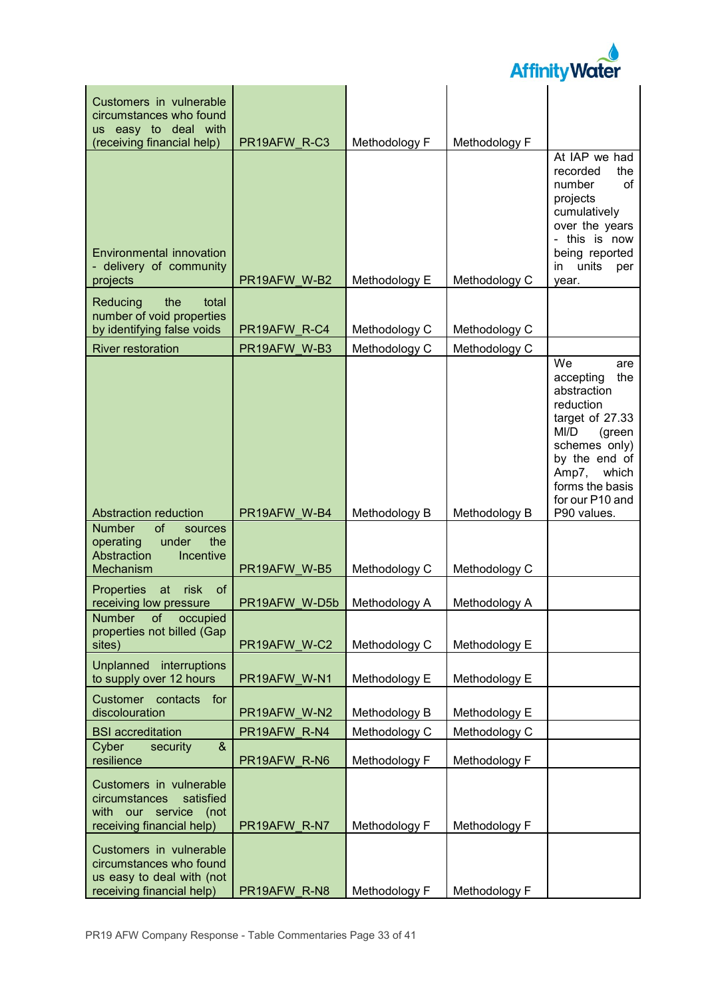

| Customers in vulnerable<br>circumstances who found                                                           |               |               |               |                                                                                                                                                                                                                 |
|--------------------------------------------------------------------------------------------------------------|---------------|---------------|---------------|-----------------------------------------------------------------------------------------------------------------------------------------------------------------------------------------------------------------|
| us easy to deal with<br>(receiving financial help)                                                           | PR19AFW R-C3  | Methodology F | Methodology F |                                                                                                                                                                                                                 |
| <b>Environmental innovation</b><br>- delivery of community<br>projects                                       | PR19AFW W-B2  | Methodology E | Methodology C | At IAP we had<br>the<br>recorded<br>number<br>of<br>projects<br>cumulatively<br>over the years<br>- this is now<br>being reported<br>in units<br>per<br>year.                                                   |
| the<br>Reducing<br>total<br>number of void properties<br>by identifying false voids                          | PR19AFW R-C4  | Methodology C | Methodology C |                                                                                                                                                                                                                 |
| <b>River restoration</b>                                                                                     | PR19AFW W-B3  | Methodology C | Methodology C |                                                                                                                                                                                                                 |
|                                                                                                              |               |               |               | $\overline{\mathsf{W}}$ e<br>are<br>the<br>accepting<br>abstraction<br>reduction<br>target of 27.33<br>MI/D<br>(green<br>schemes only)<br>by the end of<br>Amp7,<br>which<br>forms the basis<br>for our P10 and |
| <b>Abstraction reduction</b>                                                                                 | PR19AFW W-B4  | Methodology B | Methodology B | P90 values.                                                                                                                                                                                                     |
| of<br><b>Number</b><br>sources<br>operating<br>under<br>the<br>Abstraction<br>Incentive<br>Mechanism         | PR19AFW W-B5  | Methodology C | Methodology C |                                                                                                                                                                                                                 |
| of<br>at<br>risk<br>Properties<br>receiving low pressure                                                     | PR19AFW W-D5b | Methodology A | Methodology A |                                                                                                                                                                                                                 |
| Number of occupied<br>properties not billed (Gap<br>sites)                                                   | PR19AFW W-C2  | Methodology C | Methodology E |                                                                                                                                                                                                                 |
| Unplanned interruptions<br>to supply over 12 hours                                                           | PR19AFW W-N1  | Methodology E | Methodology E |                                                                                                                                                                                                                 |
| Customer contacts<br>for<br>discolouration                                                                   | PR19AFW W-N2  | Methodology B | Methodology E |                                                                                                                                                                                                                 |
| <b>BSI</b> accreditation                                                                                     | PR19AFW R-N4  | Methodology C | Methodology C |                                                                                                                                                                                                                 |
| security<br>$\&$<br>Cyber<br>resilience                                                                      | PR19AFW R-N6  | Methodology F | Methodology F |                                                                                                                                                                                                                 |
| Customers in vulnerable<br>satisfied<br>circumstances<br>with our service (not<br>receiving financial help)  | PR19AFW R-N7  | Methodology F | Methodology F |                                                                                                                                                                                                                 |
| Customers in vulnerable<br>circumstances who found<br>us easy to deal with (not<br>receiving financial help) | PR19AFW R-N8  | Methodology F | Methodology F |                                                                                                                                                                                                                 |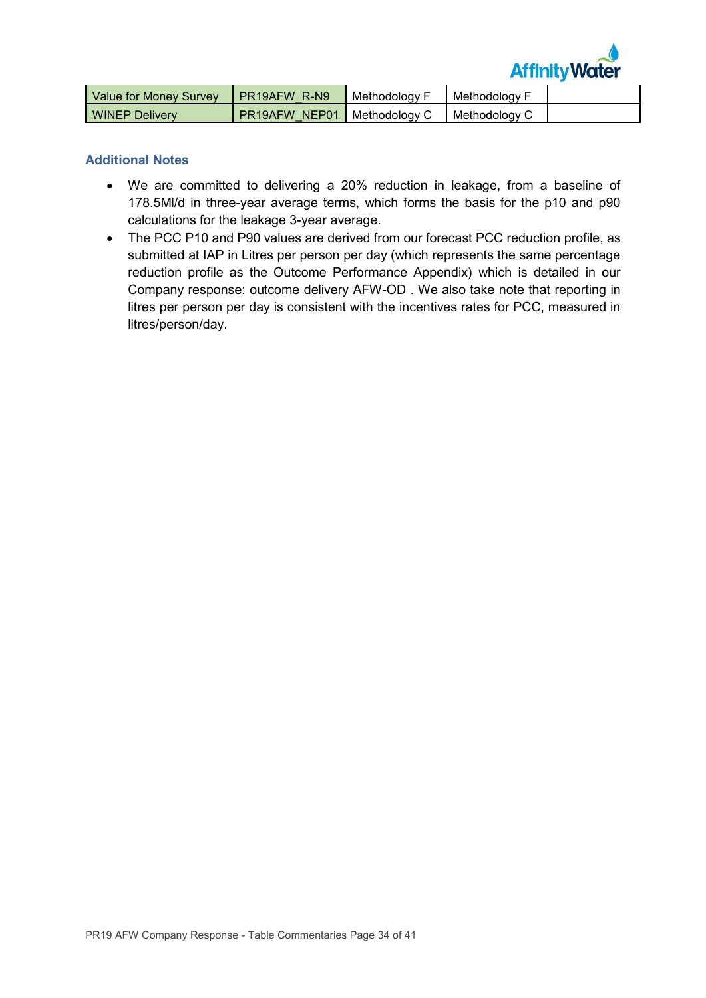

| Value for Money Survey | <b>I PR19AFW R-N9</b>                | Methodology F | I Methodology F |  |
|------------------------|--------------------------------------|---------------|-----------------|--|
| <b>WINEP Delivery</b>  | <b>PR19AFW NEP01   Methodology C</b> |               | Methodology C   |  |

### **Additional Notes**

- We are committed to delivering a 20% reduction in leakage, from a baseline of 178.5Ml/d in three-year average terms, which forms the basis for the p10 and p90 calculations for the leakage 3-year average.
- The PCC P10 and P90 values are derived from our forecast PCC reduction profile, as submitted at IAP in Litres per person per day (which represents the same percentage reduction profile as the Outcome Performance Appendix) which is detailed in our Company response: outcome delivery AFW-OD . We also take note that reporting in litres per person per day is consistent with the incentives rates for PCC, measured in litres/person/day.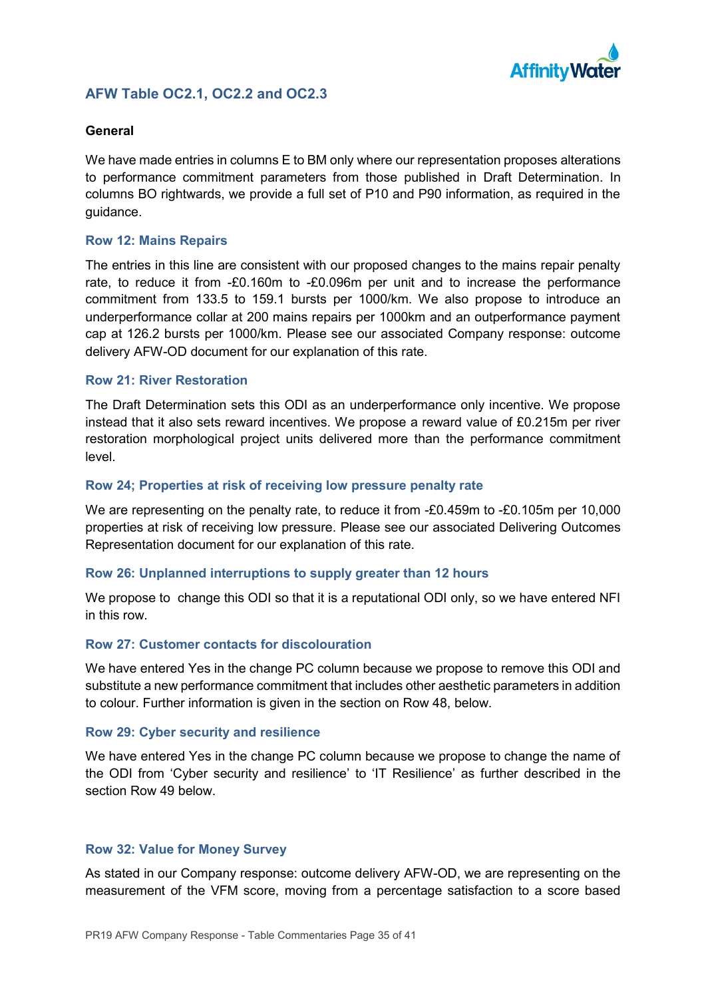

## **AFW Table OC2.1, OC2.2 and OC2.3**

### **General**

We have made entries in columns E to BM only where our representation proposes alterations to performance commitment parameters from those published in Draft Determination. In columns BO rightwards, we provide a full set of P10 and P90 information, as required in the guidance.

### **Row 12: Mains Repairs**

The entries in this line are consistent with our proposed changes to the mains repair penalty rate, to reduce it from -£0.160m to -£0.096m per unit and to increase the performance commitment from 133.5 to 159.1 bursts per 1000/km. We also propose to introduce an underperformance collar at 200 mains repairs per 1000km and an outperformance payment cap at 126.2 bursts per 1000/km. Please see our associated Company response: outcome delivery AFW-OD document for our explanation of this rate.

#### **Row 21: River Restoration**

The Draft Determination sets this ODI as an underperformance only incentive. We propose instead that it also sets reward incentives. We propose a reward value of £0.215m per river restoration morphological project units delivered more than the performance commitment level.

### **Row 24; Properties at risk of receiving low pressure penalty rate**

We are representing on the penalty rate, to reduce it from -£0.459m to -£0.105m per 10,000 properties at risk of receiving low pressure. Please see our associated Delivering Outcomes Representation document for our explanation of this rate.

## **Row 26: Unplanned interruptions to supply greater than 12 hours**

We propose to change this ODI so that it is a reputational ODI only, so we have entered NFI in this row.

#### **Row 27: Customer contacts for discolouration**

We have entered Yes in the change PC column because we propose to remove this ODI and substitute a new performance commitment that includes other aesthetic parameters in addition to colour. Further information is given in the section on Row 48, below.

#### **Row 29: Cyber security and resilience**

We have entered Yes in the change PC column because we propose to change the name of the ODI from 'Cyber security and resilience' to 'IT Resilience' as further described in the section Row 49 below.

#### **Row 32: Value for Money Survey**

As stated in our Company response: outcome delivery AFW-OD, we are representing on the measurement of the VFM score, moving from a percentage satisfaction to a score based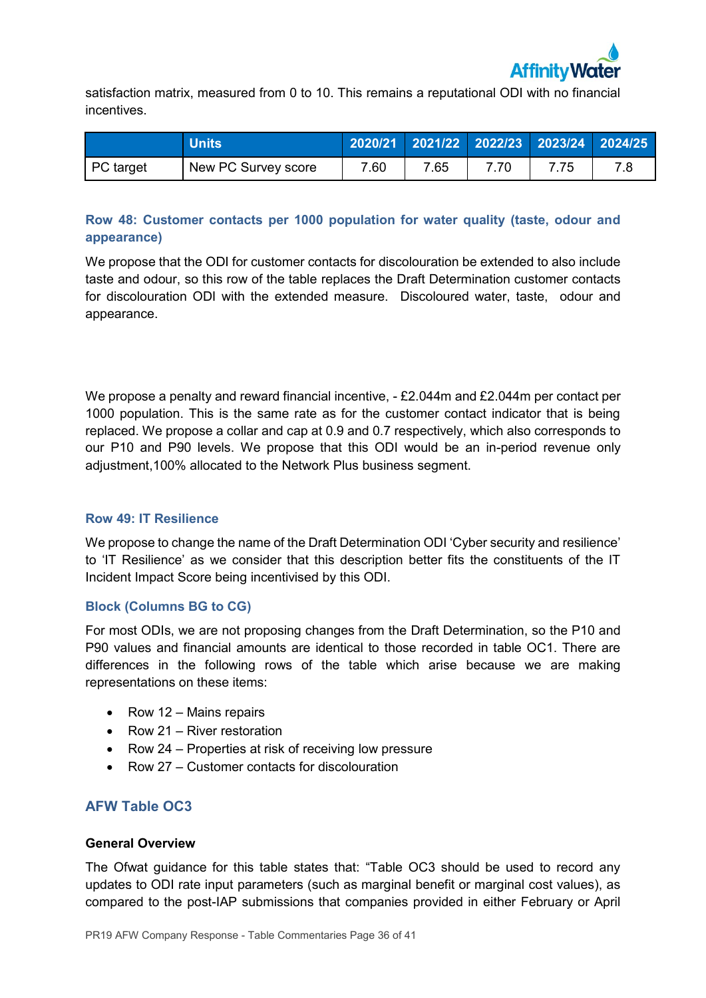

satisfaction matrix, measured from 0 to 10. This remains a reputational ODI with no financial incentives.

|           | <b>Units</b>        |      | 2020/21 2021/22 2022/23 2023/24 2024/25 |     |  |
|-----------|---------------------|------|-----------------------------------------|-----|--|
| PC target | New PC Survey score | 7.60 | 7.65                                    | .75 |  |

## **Row 48: Customer contacts per 1000 population for water quality (taste, odour and appearance)**

We propose that the ODI for customer contacts for discolouration be extended to also include taste and odour, so this row of the table replaces the Draft Determination customer contacts for discolouration ODI with the extended measure. Discoloured water, taste, odour and appearance.

We propose a penalty and reward financial incentive,  $-$  £2.044m and £2.044m per contact per 1000 population. This is the same rate as for the customer contact indicator that is being replaced. We propose a collar and cap at 0.9 and 0.7 respectively, which also corresponds to our P10 and P90 levels. We propose that this ODI would be an in-period revenue only adjustment,100% allocated to the Network Plus business segment.

## **Row 49: IT Resilience**

We propose to change the name of the Draft Determination ODI 'Cyber security and resilience' to 'IT Resilience' as we consider that this description better fits the constituents of the IT Incident Impact Score being incentivised by this ODI.

## **Block (Columns BG to CG)**

For most ODIs, we are not proposing changes from the Draft Determination, so the P10 and P90 values and financial amounts are identical to those recorded in table OC1. There are differences in the following rows of the table which arise because we are making representations on these items:

- Row 12 Mains repairs
- Row 21 River restoration
- Row 24 Properties at risk of receiving low pressure
- Row 27 Customer contacts for discolouration

## **AFW Table OC3**

#### **General Overview**

The Ofwat guidance for this table states that: "Table OC3 should be used to record any updates to ODI rate input parameters (such as marginal benefit or marginal cost values), as compared to the post-IAP submissions that companies provided in either February or April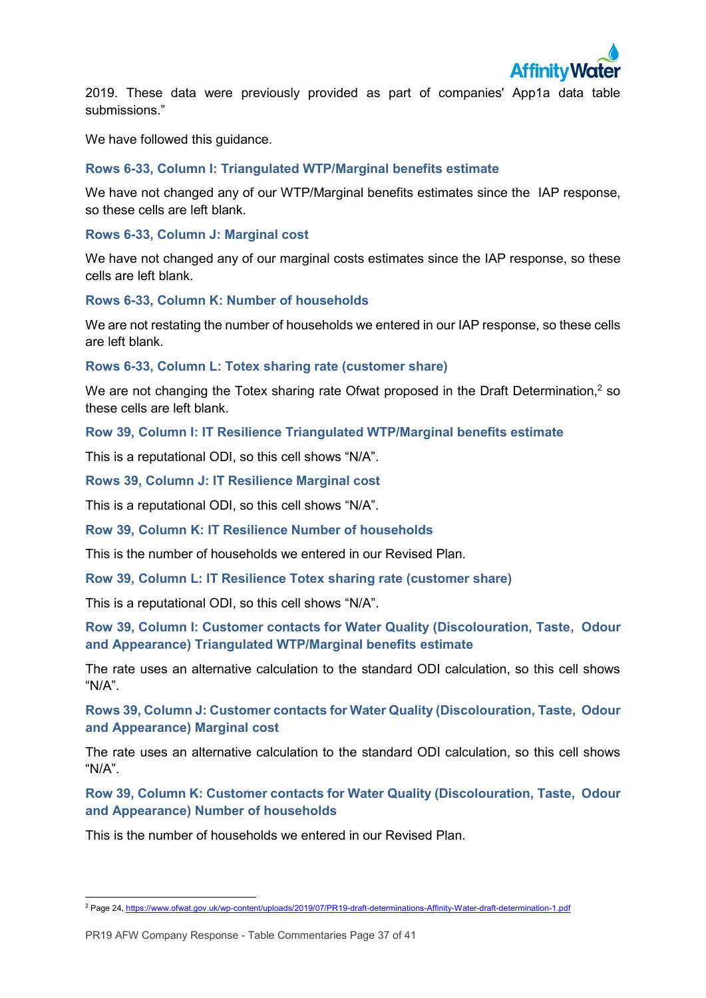<span id="page-36-0"></span>

2019. These data were previously provided as part of companies' App1a data table submissions."

We have followed this quidance.

## **Rows 6-33, Column I: Triangulated WTP/Marginal benefits estimate**

We have not changed any of our WTP/Marginal benefits estimates since the IAP response, so these cells are left blank.

### **Rows 6-33, Column J: Marginal cost**

We have not changed any of our marginal costs estimates since the IAP response, so these cells are left blank.

### **Rows 6-33, Column K: Number of households**

We are not restating the number of households we entered in our IAP response, so these cells are left blank.

**Rows 6-33, Column L: Totex sharing rate (customer share)**

We are not changing the Totex sharing rate Ofwat proposed in the Draft Determination,<sup>2</sup> so these cells are left blank.

**Row 39, Column I: IT Resilience Triangulated WTP/Marginal benefits estimate**

This is a reputational ODI, so this cell shows "N/A".

**Rows 39, Column J: IT Resilience Marginal cost**

This is a reputational ODI, so this cell shows "N/A".

**Row 39, Column K: IT Resilience Number of households**

This is the number of households we entered in our Revised Plan.

**Row 39, Column L: IT Resilience Totex sharing rate (customer share)**

This is a reputational ODI, so this cell shows "N/A".

**Row 39, Column I: Customer contacts for Water Quality (Discolouration, Taste, Odour and Appearance) Triangulated WTP/Marginal benefits estimate**

The rate uses an alternative calculation to the standard ODI calculation, so this cell shows  $M/A"$ 

**Rows 39, Column J: Customer contacts for Water Quality (Discolouration, Taste, Odour and Appearance) Marginal cost**

The rate uses an alternative calculation to the standard ODI calculation, so this cell shows "N/A".

**Row 39, Column K: Customer contacts for Water Quality (Discolouration, Taste, Odour and Appearance) Number of households**

This is the number of households we entered in our Revised Plan.

<sup>-</sup><sup>2</sup> Page 24[, https://www.ofwat.gov.uk/wp-content/uploads/2019/07/PR19-draft-determinations-Affinity-Water-draft-determination-1.pdf](https://www.ofwat.gov.uk/wp-content/uploads/2019/07/PR19-draft-determinations-Affinity-Water-draft-determination-1.pdf)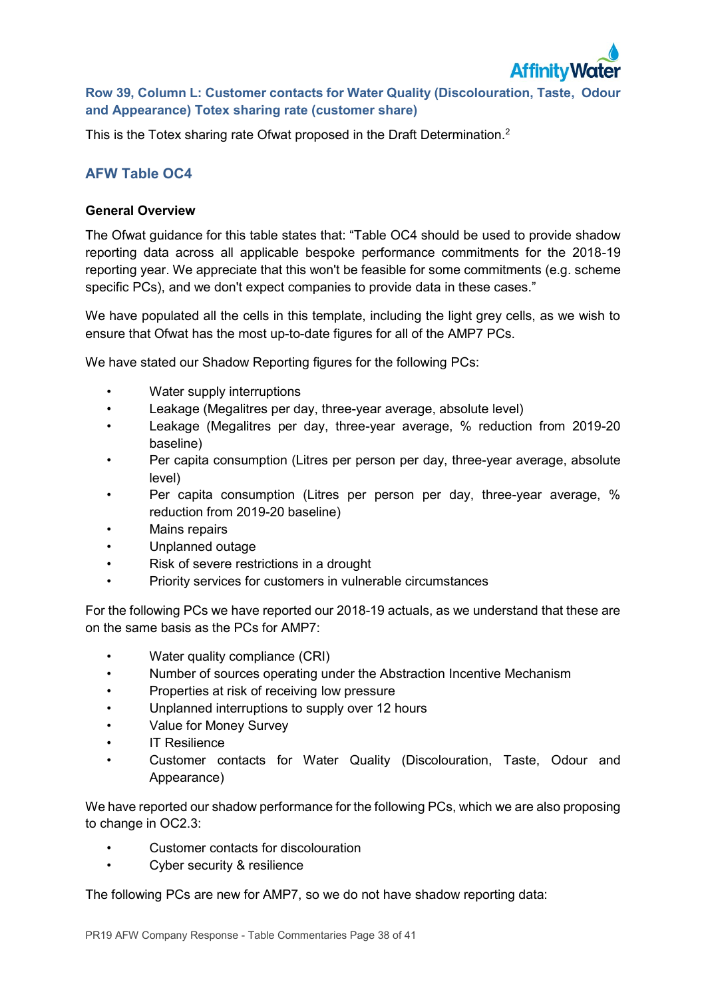

## **Row 39, Column L: Customer contacts for Water Quality (Discolouration, Taste, Odour and Appearance) Totex sharing rate (customer share)**

This is the Totex sharing rate Ofwat proposed in the Draft Determination.<sup>[2](#page-36-0)</sup>

## **AFW Table OC4**

### **General Overview**

The Ofwat guidance for this table states that: "Table OC4 should be used to provide shadow reporting data across all applicable bespoke performance commitments for the 2018-19 reporting year. We appreciate that this won't be feasible for some commitments (e.g. scheme specific PCs), and we don't expect companies to provide data in these cases."

We have populated all the cells in this template, including the light grey cells, as we wish to ensure that Ofwat has the most up-to-date figures for all of the AMP7 PCs.

We have stated our Shadow Reporting figures for the following PCs:

- Water supply interruptions
- Leakage (Megalitres per day, three-year average, absolute level)
- Leakage (Megalitres per day, three-year average, % reduction from 2019-20 baseline)
- Per capita consumption (Litres per person per day, three-year average, absolute level)
- Per capita consumption (Litres per person per day, three-year average, % reduction from 2019-20 baseline)
- Mains repairs
- Unplanned outage
- Risk of severe restrictions in a drought
- Priority services for customers in vulnerable circumstances

For the following PCs we have reported our 2018-19 actuals, as we understand that these are on the same basis as the PCs for AMP7:

- Water quality compliance (CRI)
- Number of sources operating under the Abstraction Incentive Mechanism
- Properties at risk of receiving low pressure
- Unplanned interruptions to supply over 12 hours
- Value for Money Survey
- IT Resilience
- Customer contacts for Water Quality (Discolouration, Taste, Odour and Appearance)

We have reported our shadow performance for the following PCs, which we are also proposing to change in OC2.3:

- Customer contacts for discolouration
- Cyber security & resilience

The following PCs are new for AMP7, so we do not have shadow reporting data: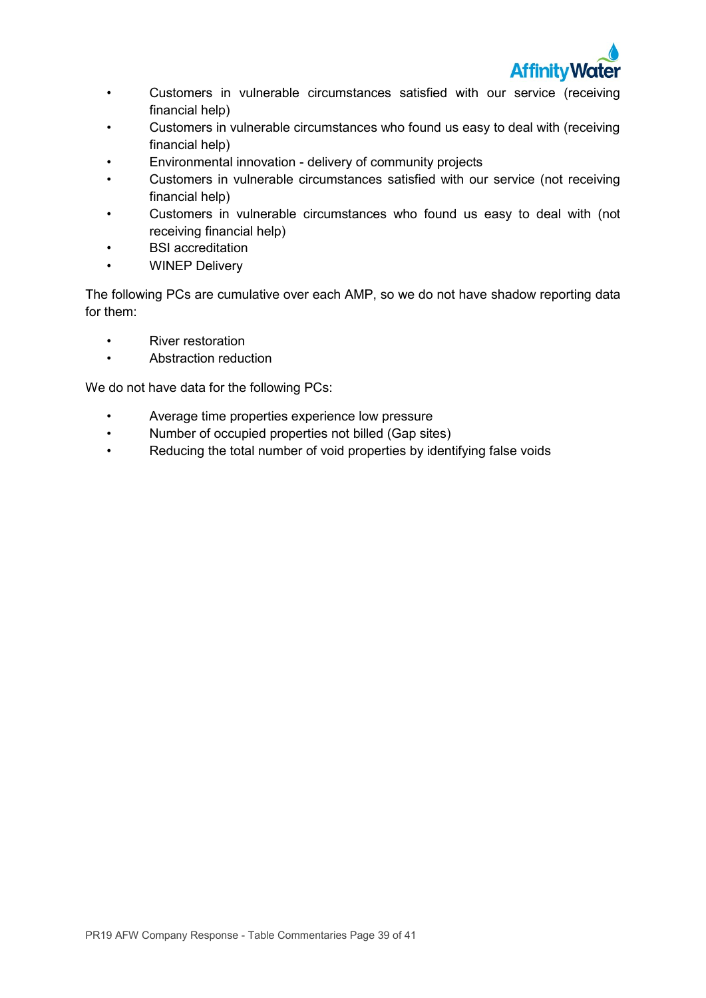

- Customers in vulnerable circumstances satisfied with our service (receiving financial help)
- Customers in vulnerable circumstances who found us easy to deal with (receiving financial help)
- Environmental innovation delivery of community projects
- Customers in vulnerable circumstances satisfied with our service (not receiving financial help)
- Customers in vulnerable circumstances who found us easy to deal with (not receiving financial help)
- BSI accreditation
- **WINEP Delivery**

The following PCs are cumulative over each AMP, so we do not have shadow reporting data for them:

- River restoration
- Abstraction reduction

We do not have data for the following PCs:

- Average time properties experience low pressure
- Number of occupied properties not billed (Gap sites)
- Reducing the total number of void properties by identifying false voids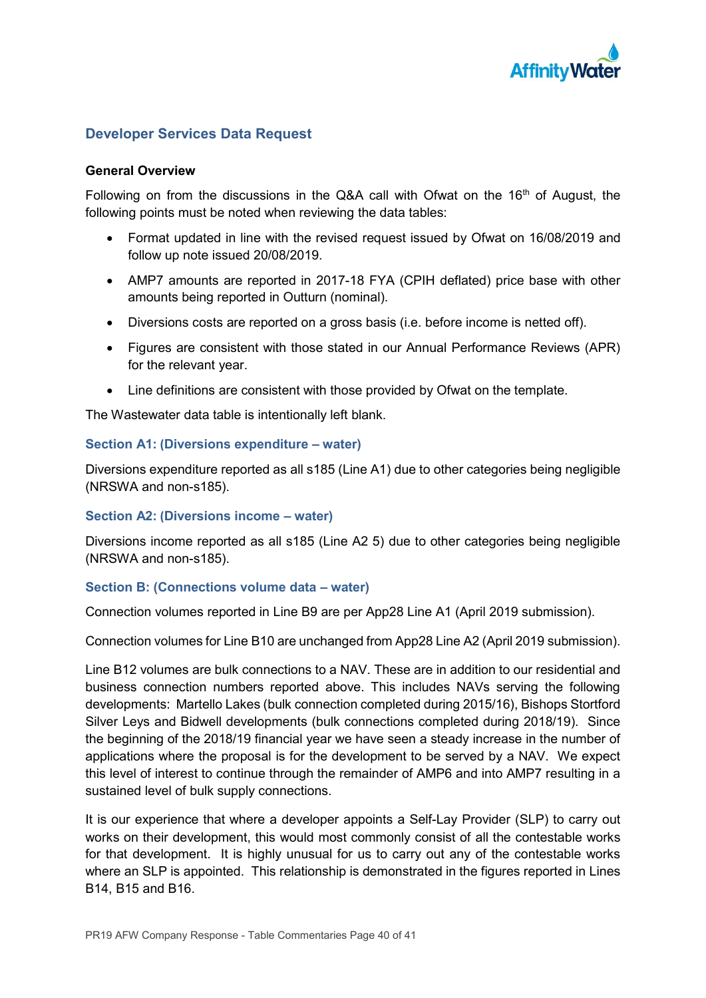

## **Developer Services Data Request**

### **General Overview**

Following on from the discussions in the Q&A call with Ofwat on the  $16<sup>th</sup>$  of August, the following points must be noted when reviewing the data tables:

- Format updated in line with the revised request issued by Ofwat on 16/08/2019 and follow up note issued 20/08/2019.
- AMP7 amounts are reported in 2017-18 FYA (CPIH deflated) price base with other amounts being reported in Outturn (nominal).
- Diversions costs are reported on a gross basis (i.e. before income is netted off).
- Figures are consistent with those stated in our Annual Performance Reviews (APR) for the relevant year.
- Line definitions are consistent with those provided by Ofwat on the template.

The Wastewater data table is intentionally left blank.

#### **Section A1: (Diversions expenditure – water)**

Diversions expenditure reported as all s185 (Line A1) due to other categories being negligible (NRSWA and non-s185).

## **Section A2: (Diversions income – water)**

Diversions income reported as all s185 (Line A2 5) due to other categories being negligible (NRSWA and non-s185).

## **Section B: (Connections volume data – water)**

Connection volumes reported in Line B9 are per App28 Line A1 (April 2019 submission).

Connection volumes for Line B10 are unchanged from App28 Line A2 (April 2019 submission).

Line B12 volumes are bulk connections to a NAV. These are in addition to our residential and business connection numbers reported above. This includes NAVs serving the following developments: Martello Lakes (bulk connection completed during 2015/16), Bishops Stortford Silver Leys and Bidwell developments (bulk connections completed during 2018/19). Since the beginning of the 2018/19 financial year we have seen a steady increase in the number of applications where the proposal is for the development to be served by a NAV. We expect this level of interest to continue through the remainder of AMP6 and into AMP7 resulting in a sustained level of bulk supply connections.

It is our experience that where a developer appoints a Self-Lay Provider (SLP) to carry out works on their development, this would most commonly consist of all the contestable works for that development. It is highly unusual for us to carry out any of the contestable works where an SLP is appointed. This relationship is demonstrated in the figures reported in Lines B14, B15 and B16.